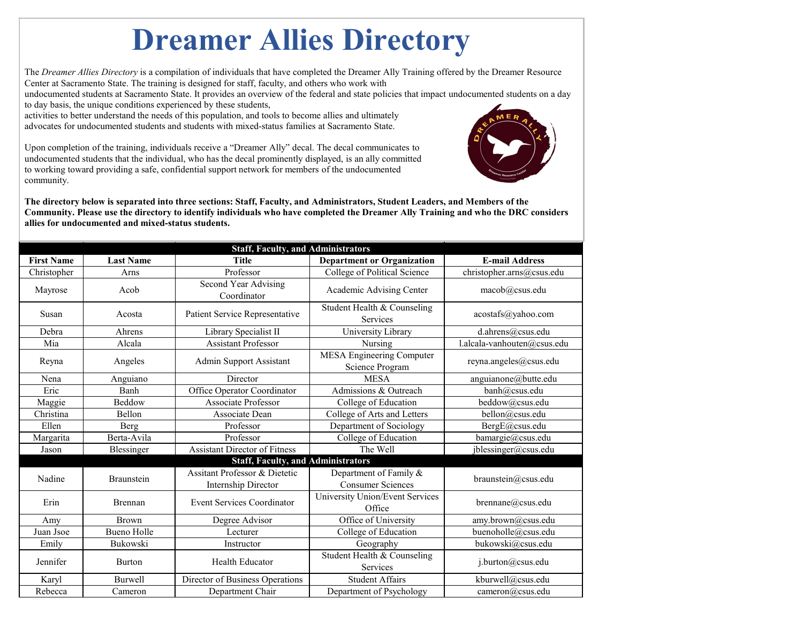## **Dreamer Allies Directory**

The *Dreamer Allies Directory* is a compilation of individuals that have completed the Dreamer Ally Training offered by the Dreamer Resource Center at Sacramento State. The training is designed for staff, faculty, and others who work with

undocumented students at Sacramento State. It provides an overview of the federal and state policies that impact undocumented students on a day to day basis, the unique conditions experienced by these students,

activities to better understand the needs of this population, and tools to become allies and ultimately advocates for undocumented students and students with mixed-status families at Sacramento State.

Upon completion of the training, individuals receive a "Dreamer Ally" decal. The decal communicates to undocumented students that the individual, who has the decal prominently displayed, is an ally committed to working toward providing a safe, confidential support network for members of the undocumented community.



**The directory below is separated into three sections: Staff, Faculty, and Administrators, Student Leaders, and Members of the Community. Please use the directory to identify individuals who have completed the Dreamer Ally Training and who the DRC considers allies for undocumented and mixed-status students.** 

| <b>Staff, Faculty, and Administrators</b> |                    |                                                                 |                                                     |                             |  |
|-------------------------------------------|--------------------|-----------------------------------------------------------------|-----------------------------------------------------|-----------------------------|--|
| <b>First Name</b>                         | <b>Last Name</b>   | <b>Title</b>                                                    | <b>Department or Organization</b>                   | <b>E-mail Address</b>       |  |
| Christopher                               | Arns               | Professor                                                       | <b>College of Political Science</b>                 | christopher.arns@csus.edu   |  |
| Mayrose                                   | Acob               | <b>Second Year Advising</b><br>Coordinator                      | Academic Advising Center                            | macob@csus.edu              |  |
| Susan                                     | Acosta             | <b>Patient Service Representative</b>                           | Student Health & Counseling<br>Services             | acostafs@yahoo.com          |  |
| Debra                                     | Ahrens             | Library Specialist II                                           | University Library                                  | d.ahrens@csus.edu           |  |
| Mia                                       | Alcala             | <b>Assistant Professor</b>                                      | Nursing                                             | l.alcala-vanhouten@csus.edu |  |
| Reyna                                     | Angeles            | <b>Admin Support Assistant</b>                                  | <b>MESA Engineering Computer</b><br>Science Program | reyna.angeles@csus.edu      |  |
| Nena                                      | Anguiano           | Director                                                        | <b>MESA</b>                                         | anguianone@butte.edu        |  |
| Eric                                      | Banh               | <b>Office Operator Coordinator</b>                              | Admissions & Outreach                               | banh@csus.edu               |  |
| Maggie                                    | Beddow             | <b>Associate Professor</b>                                      | College of Education                                | beddow@csus.edu             |  |
| Christina                                 | Bellon             | Associate Dean                                                  | College of Arts and Letters                         | bellon@csus.edu             |  |
| Ellen                                     | Berg               | Professor                                                       | Department of Sociology                             | BergE@csus.edu              |  |
| Margarita                                 | Berta-Avila        | Professor                                                       | College of Education                                | bamargie@csus.edu           |  |
| Jason                                     | Blessinger         | <b>Assistant Director of Fitness</b>                            | The Well                                            | jblessinger@csus.edu        |  |
|                                           |                    | <b>Staff, Faculty, and Administrators</b>                       |                                                     |                             |  |
| Nadine                                    | Braunstein         | <b>Assitant Professor &amp; Dietetic</b><br>Internship Director | Department of Family &<br><b>Consumer Sciences</b>  | braunstein@csus.edu         |  |
| Erin                                      | <b>Brennan</b>     | <b>Event Services Coordinator</b>                               | University Union/Event Services<br>Office           | brennane@csus.edu           |  |
| Amy                                       | <b>Brown</b>       | Degree Advisor                                                  | Office of University                                | amy.brown@csus.edu          |  |
| Juan Jsoe                                 | <b>Bueno Holle</b> | Lecturer                                                        | College of Education                                | buenoholle@csus.edu         |  |
| Emily                                     | Bukowski           | Instructor                                                      | Geography                                           | bukowski@csus.edu           |  |
| Jennifer                                  | <b>Burton</b>      | Health Educator                                                 | Student Health & Counseling<br>Services             | j.burton@csus.edu           |  |
| Karyl                                     | <b>Burwell</b>     | Director of Business Operations                                 | <b>Student Affairs</b>                              | kburwell@csus.edu           |  |
| Rebecca                                   | Cameron            | Department Chair                                                | Department of Psychology                            | cameron@csus.edu            |  |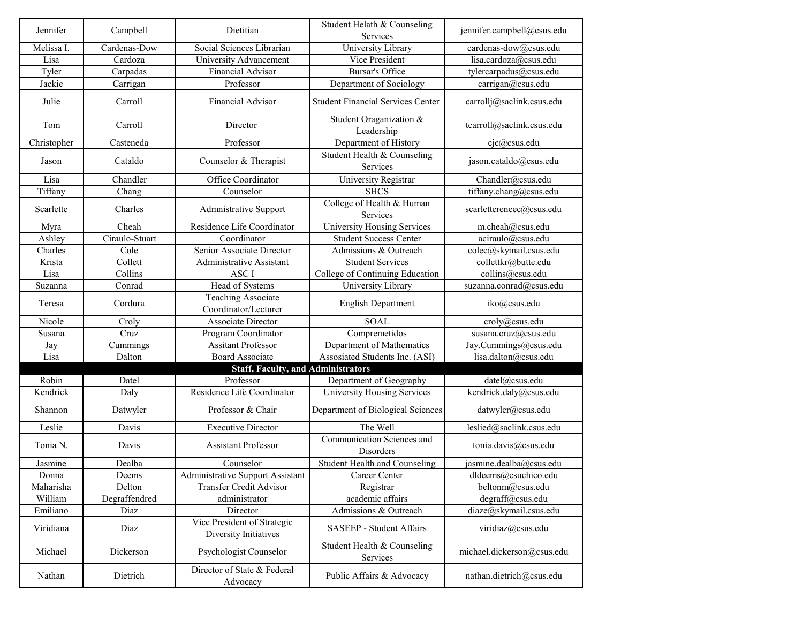| Jennifer    | Campbell       | Dietitian                                            | Student Helath & Counseling<br><b>Services</b> | jennifer.campbell@csus.edu |
|-------------|----------------|------------------------------------------------------|------------------------------------------------|----------------------------|
| Melissa I.  | Cardenas-Dow   | Social Sciences Librarian                            | University Library                             | cardenas-dow@csus.edu      |
| Lisa        | Cardoza        | University Advancement                               | Vice President                                 | lisa.cardoza@csus.edu      |
| Tyler       | Carpadas       | <b>Financial Advisor</b>                             | <b>Bursar's Office</b>                         | tylercarpadus@csus.edu     |
| Jackie      | Carrigan       | Professor                                            | Department of Sociology                        | carrigan@csus.edu          |
| Julie       | Carroll        | <b>Financial Advisor</b>                             | <b>Student Financial Services Center</b>       | carrollj@saclink.csus.edu  |
| Tom         | Carroll        | Director                                             | Student Oraganization &<br>Leadership          | tcarroll@saclink.csus.edu  |
| Christopher | Casteneda      | Professor                                            | Department of History                          | $c$ jc $@c$ sus.edu        |
| Jason       | Cataldo        | Counselor & Therapist                                | Student Health & Counseling<br>Services        | jason.cataldo@csus.edu     |
| Lisa        | Chandler       | Office Coordinator                                   | University Registrar                           | Chandler@csus.edu          |
| Tiffany     | Chang          | Counselor                                            | <b>SHCS</b>                                    | tiffany.chang@csus.edu     |
| Scarlette   | Charles        | <b>Admnistrative Support</b>                         | College of Health & Human<br>Services          | scarlettereneec@csus.edu   |
| Myra        | Cheah          | Residence Life Coordinator                           | University Housing Services                    | m.cheah@csus.edu           |
| Ashley      | Ciraulo-Stuart | Coordinator                                          | <b>Student Success Center</b>                  | aciraulo@csus.edu          |
| Charles     | Cole           | Senior Associate Director                            | Admissions & Outreach                          | colec@skymail.csus.edu     |
| Krista      | Collett        | <b>Administrative Assistant</b>                      | <b>Student Services</b>                        | collettkr@butte.edu        |
| Lisa        | Collins        | <b>ASCI</b>                                          | College of Continuing Education                | collins@csus.edu           |
| Suzanna     | Conrad         | Head of Systems                                      | University Library                             | suzanna.conrad@csus.edu    |
| Teresa      | Cordura        | <b>Teaching Associate</b><br>Coordinator/Lecturer    | <b>English Department</b>                      | iko@csus.edu               |
| Nicole      | Croly          | <b>Associate Director</b>                            | <b>SOAL</b>                                    | croly@csus.edu             |
| Susana      | Cruz           | Program Coordinator                                  | Compremetidos                                  | susana.cruz@csus.edu       |
| Jay         | Cummings       | <b>Assitant Professor</b>                            | Department of Mathematics                      | Jay.Cummings@csus.edu      |
| Lisa        | Dalton         | <b>Board Associate</b>                               | Assosiated Students Inc. (ASI)                 | lisa.dalton@csus.edu       |
|             |                | <b>Staff, Faculty, and Administrators</b>            |                                                |                            |
| Robin       | Datel          | Professor                                            | Department of Geography                        | datel@csus.edu             |
| Kendrick    | Daly           | Residence Life Coordinator                           | University Housing Services                    | kendrick.daly@csus.edu     |
| Shannon     | Datwyler       | Professor & Chair                                    | Department of Biological Sciences              | datwyler@csus.edu          |
| Leslie      | Davis          | <b>Executive Director</b>                            | The Well                                       | leslied@saclink.csus.edu   |
| Tonia N.    | Davis          | <b>Assistant Professor</b>                           | Communication Sciences and<br>Disorders        | tonia.davis@csus.edu       |
| Jasmine     | Dealba         | Counselor                                            | <b>Student Health and Counseling</b>           | jasmine.dealba@csus.edu    |
| Donna       | Deems          | <b>Administrative Support Assistant</b>              | <b>Career Center</b>                           | dldeems@csuchico.edu       |
| Maharisha   | Delton         | <b>Transfer Credit Advisor</b>                       | Registrar                                      | beltonm@csus.edu           |
| William     | Degraffendred  | administrator                                        | academic affairs                               | degraff@csus.edu           |
| Emiliano    | Diaz           | Director                                             | Admissions & Outreach                          | diaze@skymail.csus.edu     |
| Viridiana   | Diaz           | Vice President of Strategic<br>Diversity Initiatives | <b>SASEEP - Student Affairs</b>                | viridiaz@csus.edu          |
| Michael     | Dickerson      | Psychologist Counselor                               | Student Health & Counseling<br>Services        | michael.dickerson@csus.edu |
| Nathan      | Dietrich       | Director of State & Federal<br>Advocacy              | Public Affairs & Advocacy                      | nathan.dietrich@csus.edu   |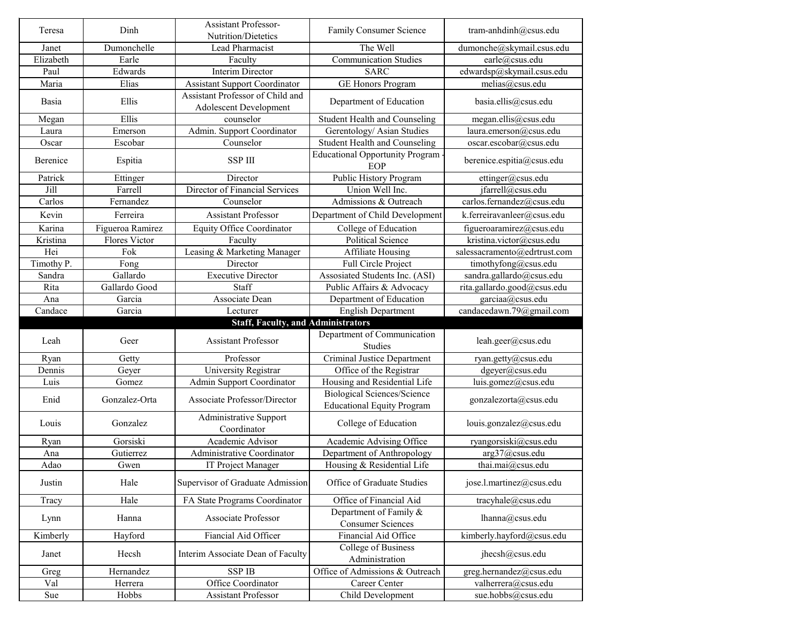|                   |                      | <b>Assistant Professor-</b>                                       |                                                                         |                                              |
|-------------------|----------------------|-------------------------------------------------------------------|-------------------------------------------------------------------------|----------------------------------------------|
| Teresa            | Dinh                 | Nutrition/Dietetics                                               | <b>Family Consumer Science</b>                                          | tram-anhdinh@csus.edu                        |
| Janet             | Dumonchelle          | Lead Pharmacist                                                   | The Well                                                                | dumonche@skymail.csus.edu                    |
| Elizabeth         | Earle                | Faculty                                                           | <b>Communication Studies</b>                                            | earle@csus.edu                               |
| Paul              | Edwards              | <b>Interim Director</b>                                           | <b>SARC</b>                                                             | edwardsp@skymail.csus.edu                    |
| Maria             | Elias                | <b>Assistant Support Coordinator</b>                              | <b>GE Honors Program</b>                                                | melias@csus.edu                              |
| Basia             | Ellis                | Assistant Professor of Child and<br><b>Adolescent Development</b> | Department of Education                                                 | basia.ellis@csus.edu                         |
| Megan             | Ellis                | counselor                                                         | <b>Student Health and Counseling</b>                                    | megan.ellis@csus.edu                         |
| Laura             | Emerson              | Admin. Support Coordinator                                        | Gerentology/ Asian Studies                                              | laura.emerson@csus.edu                       |
| Oscar             | Escobar              | Counselor                                                         | <b>Student Health and Counseling</b>                                    | oscar.escobar@csus.edu                       |
| Berenice          | Espitia              | <b>SSP III</b>                                                    | <b>Educational Opportunity Program</b><br>EOP                           | berenice.espitia@csus.edu                    |
| Patrick           | Ettinger             | Director                                                          | Public History Program                                                  | ettinger@csus.edu                            |
| Jill              | Farrell              | Director of Financial Services                                    | Union Well Inc.                                                         | jfarrell@csus.edu                            |
| Carlos            | Fernandez            | Counselor                                                         | Admissions & Outreach                                                   | carlos.fernandez@csus.edu                    |
| Kevin             | Ferreira             | <b>Assistant Professor</b>                                        | Department of Child Development                                         | k.ferreiravanleer@csus.edu                   |
| Karina            | Figueroa Ramirez     | <b>Equity Office Coordinator</b>                                  | College of Education                                                    | figueroaramirez@csus.edu                     |
| Kristina          | <b>Flores Victor</b> | Faculty                                                           | <b>Political Science</b>                                                | kristina.victor@csus.edu                     |
| Hei               | Fok                  | Leasing & Marketing Manager                                       | <b>Affiliate Housing</b>                                                | salessacramento@edrtrust.com                 |
| Timothy P.        |                      | Director                                                          | Full Circle Project                                                     |                                              |
| Sandra            | Fong<br>Gallardo     | <b>Executive Director</b>                                         | Assosiated Students Inc. (ASI)                                          | timothyfong@csus.edu                         |
|                   |                      |                                                                   |                                                                         | sandra.gallardo@csus.edu                     |
| Rita              | Gallardo Good        | Staff                                                             | Public Affairs & Advocacy                                               | rita.gallardo.good@csus.edu                  |
| Ana               | Garcia               | Associate Dean                                                    | Department of Education                                                 | garciaa@csus.edu                             |
| Candace           | Garcia               | Lecturer                                                          | <b>English Department</b>                                               | candacedawn.79@gmail.com                     |
|                   |                      |                                                                   |                                                                         |                                              |
|                   |                      | <b>Staff, Faculty, and Administrators</b>                         |                                                                         |                                              |
| Leah              | Geer                 | <b>Assistant Professor</b>                                        | Department of Communication<br>Studies                                  | leah.geer@csus.edu                           |
| Ryan              | Getty                | Professor                                                         | <b>Criminal Justice Department</b>                                      | ryan.getty@csus.edu                          |
| Dennis            | Geyer                | University Registrar                                              | Office of the Registrar                                                 | dgeyer@csus.edu                              |
| Luis              | Gomez                | <b>Admin Support Coordinator</b>                                  | Housing and Residential Life                                            | luis.gomez@csus.edu                          |
| Enid              | Gonzalez-Orta        | <b>Associate Professor/Director</b>                               | <b>Biological Sciences/Science</b><br><b>Educational Equity Program</b> | gonzalezorta@csus.edu                        |
| Louis             | Gonzalez             | <b>Administrative Support</b><br>Coordinator                      | College of Education                                                    | louis.gonzalez@csus.edu                      |
| Ryan              | Gorsiski             | Academic Advisor                                                  | Academic Advising Office                                                | ryangorsiski@csus.edu                        |
| Ana               | Gutierrez            | <b>Administrative Coordinator</b>                                 | Department of Anthropology                                              | arg37@csus.edu                               |
| Adao              | Gwen                 |                                                                   | Housing & Residential Life                                              | thai.mai@csus.edu                            |
| Justin            | Hale                 | IT Project Manager<br>Supervisor of Graduate Admission            | Office of Graduate Studies                                              | jose.l.martinez@csus.edu                     |
|                   | Hale                 |                                                                   | Office of Financial Aid                                                 | tracyhale@csus.edu                           |
| Tracy<br>Lynn     | Hanna                | FA State Programs Coordinator<br><b>Associate Professor</b>       | Department of Family &<br><b>Consumer Sciences</b>                      | lhanna@csus.edu                              |
|                   |                      | Fiancial Aid Officer                                              | Financial Aid Office                                                    |                                              |
| Kimberly<br>Janet | Hayford<br>Hecsh     | Interim Associate Dean of Faculty                                 | College of Business<br>Administration                                   | kimberly.hayford@csus.edu<br>jhecsh@csus.edu |
| Greg              | Hernandez            | <b>SSP IB</b>                                                     | Office of Admissions & Outreach                                         | greg.hernandez@csus.edu                      |
| Val               | Herrera              | Office Coordinator                                                | <b>Career Center</b>                                                    | valherrera@csus.edu                          |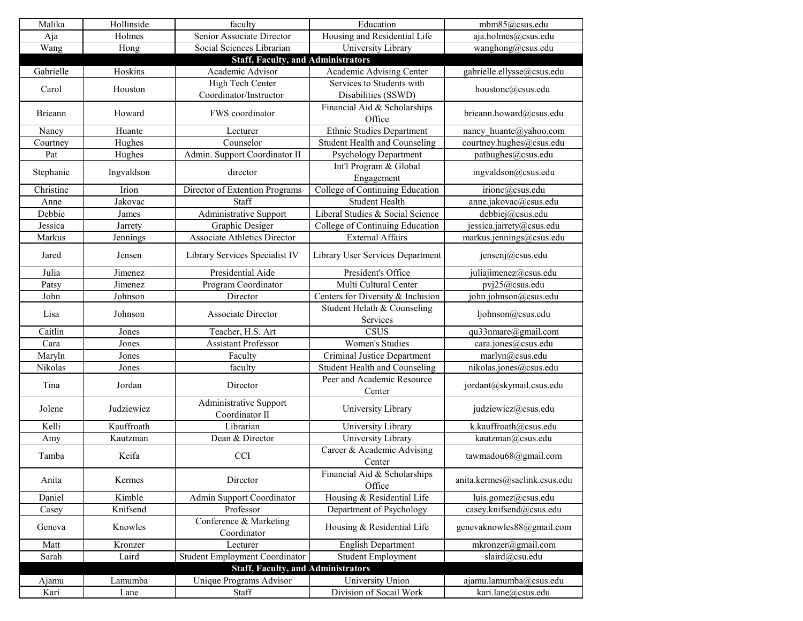| Malika         | Hollinside | faculty                                   | Education                               | mbm85@csus.edu                |
|----------------|------------|-------------------------------------------|-----------------------------------------|-------------------------------|
| Aja            | Holmes     | Senior Associate Director                 | Housing and Residential Life            | aja.holmes@csus.edu           |
| Wang           | Hong       | Social Sciences Librarian                 | University Library                      | wanghong@csus.edu             |
|                |            | <b>Staff, Faculty, and Administrators</b> |                                         |                               |
| Gabrielle      | Hoskins    | Academic Advisor                          | Academic Advising Center                | gabrielle.ellysse@csus.edu    |
| Carol          | Houston    | High Tech Center                          | Services to Students with               | houstonc@csus.edu             |
|                |            | Coordinator/Instructor                    | Disabilities (SSWD)                     |                               |
|                |            |                                           | Financial Aid & Scholarships            |                               |
| <b>Brieann</b> | Howard     | FWS coordinator                           | Office                                  | brieann.howard@csus.edu       |
| Nancy          | Huante     | Lecturer                                  | <b>Ethnic Studies Department</b>        | nancy huante@yahoo.com        |
| Courtney       | Hughes     | Counselor                                 | <b>Student Health and Counseling</b>    | courtney.hughes@csus.edu      |
| Pat            | Hughes     | Admin. Support Coordinator II             | <b>Psychology Department</b>            | pathughes@csus.edu            |
|                |            |                                           | Int'l Program & Global                  |                               |
| Stephanie      | Ingvaldson | director                                  | Engagement                              | ingvaldson@csus.edu           |
| Christine      | Irion      | Director of Extention Programs            | College of Continuing Education         | irionc@csus.edu               |
| Anne           | Jakovac    | Staff                                     | <b>Student Health</b>                   | anne.jakovac@csus.edu         |
| Debbie         | James      | Administrative Support                    | Liberal Studies & Social Science        | debbiej@csus.edu              |
| Jessica        | Jarrety    | <b>Graphic Desiger</b>                    | College of Continuing Education         | jessica.jarrety@csus.edu      |
| Markus         | Jennings   | <b>Associate Athletics Director</b>       | <b>External Affairs</b>                 | markus.jennings@csus.edu      |
|                |            |                                           |                                         |                               |
| Jared          | Jensen     | Library Services Specialist IV            | <b>Library User Services Department</b> | jensenj@csus.edu              |
| Julia          | Jimenez    | Presidential Aide                         | President's Office                      | juliajimenez@csus.edu         |
| Patsy          | Jimenez    | Program Coordinator                       | Multi Cultural Center                   | pvj25@csus.edu                |
| John           | Johnson    | Director                                  | Centers for Diversity & Inclusion       | john.johnson@csus.edu         |
|                |            |                                           | Student Helath & Counseling             |                               |
| Lisa           | Johnson    | <b>Associate Director</b>                 | Services                                | ljohnson@csus.edu             |
| Caitlin        | Jones      | Teacher, H.S. Art                         | <b>CSUS</b>                             | qu33nmare@gmail.com           |
| Cara           | Jones      | <b>Assistant Professor</b>                | <b>Women's Studies</b>                  | cara.jones@csus.edu           |
| Maryln         | Jones      | Faculty                                   | <b>Criminal Justice Department</b>      | marlyn@csus.edu               |
| Nikolas        | Jones      | faculty                                   | <b>Student Health and Counseling</b>    | nikolas.jones@csus.edu        |
|                |            |                                           | Peer and Academic Resource              |                               |
| Tina           | Jordan     | Director                                  | Center                                  | jordant@skymail.csus.edu      |
|                |            | <b>Administrative Support</b>             |                                         |                               |
| Jolene         | Judziewiez | Coordinator II                            | University Library                      | judziewicz@csus.edu           |
| Kelli          | Kauffroath | Librarian                                 | University Library                      | k.kauffroath@csus.edu         |
| Amy            | Kautzman   | Dean & Director                           | University Library                      | kautzman@csus.edu             |
|                |            |                                           | Career & Academic Advising              |                               |
| Tamba          | Keifa      | <b>CCI</b>                                | Center                                  | tawmadou68@gmail.com          |
|                |            |                                           |                                         |                               |
| Anita          | Kermes     | Director                                  | Financial Aid & Scholarships            | anita.kermes@saclink.csus.edu |
|                |            |                                           | Office                                  |                               |
| Daniel         | Kimble     | <b>Admin Support Coordinator</b>          | Housing & Residential Life              | luis.gomez@csus.edu           |
| Casey          | Knifsend   | Professor                                 | Department of Psychology                | casey.knifsend@csus.edu       |
| Geneva         | Knowles    | Conference & Marketing<br>Coordinator     | Housing & Residential Life              | genevaknowles88@gmail.com     |
| Matt           | Kronzer    | Lecturer                                  | <b>English Department</b>               | mkronzer@gmail.com            |
| Sarah          | Laird      | Student Employment Coordinator            | <b>Student Employment</b>               | slaird@csu.edu                |
|                |            | <b>Staff, Faculty, and Administrators</b> |                                         |                               |
| Ajamu          | Lamumba    | Unique Programs Advisor                   | University Union                        | ajamu.lamumba@csus.edu        |
| Kari           | Lane       | Staff                                     | Division of Socail Work                 | kari.lane@csus.edu            |
|                |            |                                           |                                         |                               |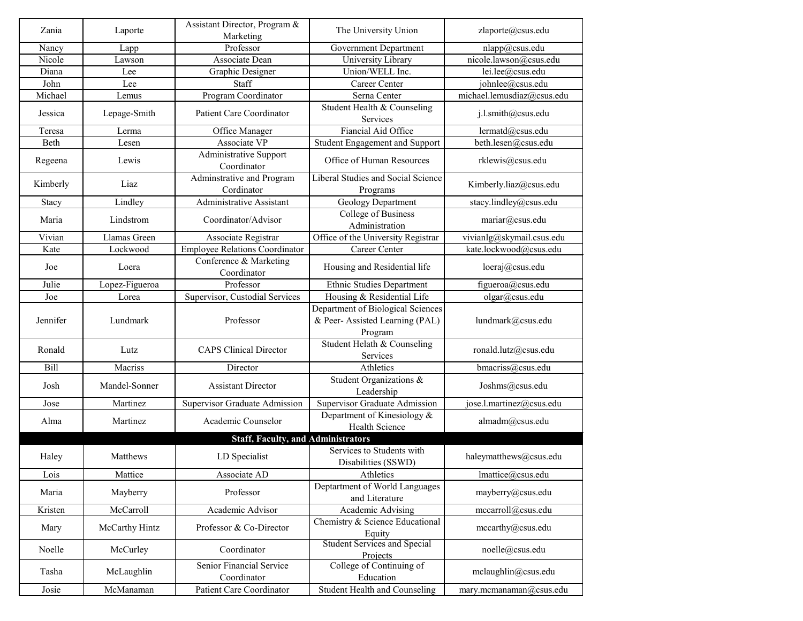| Zania    | Laporte        | Assistant Director, Program &                  | The University Union                                                            | zlaporte@csus.edu          |
|----------|----------------|------------------------------------------------|---------------------------------------------------------------------------------|----------------------------|
|          |                | Marketing                                      |                                                                                 |                            |
| Nancy    | Lapp           | Professor                                      | <b>Government Department</b>                                                    | nlapp@csus.edu             |
| Nicole   | Lawson         | Associate Dean                                 | University Library                                                              | nicole.lawson@csus.edu     |
| Diana    | Lee            | <b>Graphic Designer</b>                        | Union/WELL Inc.                                                                 | lei.lee@csus.edu           |
| John     | Lee            | Staff                                          | <b>Career Center</b>                                                            | johnlee@csus.edu           |
| Michael  | Lemus          | Program Coordinator                            | Serna Center                                                                    | michael.lemusdiaz@csus.edu |
| Jessica  | Lepage-Smith   | <b>Patient Care Coordinator</b>                | Student Health & Counseling<br>Services                                         | j.l.smith@csus.edu         |
| Teresa   | Lerma          | Office Manager                                 | Fiancial Aid Office                                                             | lermatd@csus.edu           |
| Beth     | Lesen          | Associate VP                                   | Student Engagement and Support                                                  | beth.lesen@csus.edu        |
| Regeena  | Lewis          | Administrative Support<br>Coordinator          | Office of Human Resources                                                       | rklewis@csus.edu           |
| Kimberly | Liaz           | Adminstrative and Program<br>Cordinator        | Liberal Studies and Social Science<br>Programs                                  | Kimberly.liaz@csus.edu     |
| Stacy    | Lindley        | <b>Administrative Assistant</b>                | <b>Geology Department</b>                                                       | stacy.lindley@csus.edu     |
| Maria    | Lindstrom      | Coordinator/Advisor                            | College of Business<br>Administration                                           | mariar@csus.edu            |
| Vivian   | Llamas Green   | Associate Registrar                            | Office of the University Registrar                                              | vivianlg@skymail.csus.edu  |
| Kate     | Lockwood       | <b>Employee Relations Coordinator</b>          | <b>Career Center</b>                                                            | kate.lockwood@csus.edu     |
| Joe      | Loera          | Conference & Marketing<br>Coordinator          | Housing and Residential life                                                    | loeraj@csus.edu            |
| Julie    | Lopez-Figueroa | Professor                                      | <b>Ethnic Studies Department</b>                                                | figueroa@csus.edu          |
| Joe      | Lorea          | Supervisor, Custodial Services                 | Housing & Residential Life                                                      | olgar@csus.edu             |
| Jennifer | Lundmark       | Professor                                      | Department of Biological Sciences<br>& Peer- Assisted Learning (PAL)<br>Program | lundmark@csus.edu          |
| Ronald   | Lutz           | <b>CAPS Clinical Director</b>                  | Student Helath & Counseling<br>Services                                         | ronald.lutz@csus.edu       |
| Bill     | Macriss        | Director                                       | Athletics                                                                       | bmacriss@csus.edu          |
| Josh     | Mandel-Sonner  | <b>Assistant Director</b>                      | Student Organizations &<br>Leadership                                           | Joshms@csus.edu            |
| Jose     | Martinez       | Supervisor Graduate Admission                  | <b>Supervisor Graduate Admission</b>                                            | jose.l.martinez@csus.edu   |
| Alma     | Martinez       | Academic Counselor                             | Department of Kinesiology &<br>Health Science                                   | almadm@csus.edu            |
|          |                | <b>Staff, Faculty, and Administrators</b>      |                                                                                 |                            |
| Haley    | Matthews       | LD Specialist                                  | Services to Students with<br>Disabilities (SSWD)                                | haleymatthews@csus.edu     |
| Lois     | Mattice        | Associate AD                                   | Athletics                                                                       | lmattice@csus.edu          |
| Maria    | Mayberry       | Professor                                      | Deptartment of World Languages<br>and Literature                                | mayberry@csus.edu          |
| Kristen  | McCarroll      | Academic Advisor                               | Academic Advising                                                               | mccarroll@csus.edu         |
| Mary     | McCarthy Hintz | Professor & Co-Director                        | Chemistry & Science Educational<br>Equity                                       | mecarthy@csus.edu          |
| Noelle   | McCurley       | Coordinator                                    | <b>Student Services and Special</b><br>Projects                                 | noelle@csus.edu            |
| Tasha    | McLaughlin     | <b>Senior Financial Service</b><br>Coordinator | College of Continuing of<br>Education                                           | mclaughlin@csus.edu        |
| Josie    | McManaman      | <b>Patient Care Coordinator</b>                | <b>Student Health and Counseling</b>                                            | mary.mcmanaman@csus.edu    |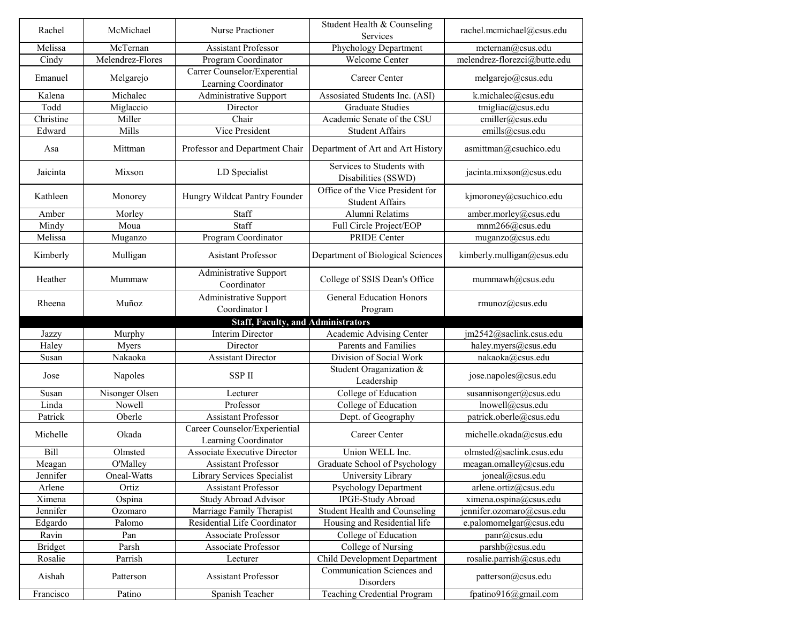| Rachel         | McMichael        | <b>Nurse Practioner</b>                               | Student Health & Counseling<br>Services                    | rachel.mcmichael@csus.edu    |
|----------------|------------------|-------------------------------------------------------|------------------------------------------------------------|------------------------------|
| Melissa        | McTernan         | <b>Assistant Professor</b>                            | Phychology Department                                      | mcternan@csus.edu            |
| Cindy          | Melendrez-Flores | Program Coordinator                                   | <b>Welcome Center</b>                                      | melendrez-florezci@butte.edu |
| Emanuel        | Melgarejo        | Carrer Counselor/Experential<br>Learning Coordinator  | <b>Career Center</b>                                       | melgarejo@csus.edu           |
| Kalena         | Michalec         | Administrative Support                                | Assosiated Students Inc. (ASI)                             | k.michalec@csus.edu          |
| Todd           | Miglaccio        | Director                                              | <b>Graduate Studies</b>                                    | tmigliac@csus.edu            |
| Christine      | Miller           | Chair                                                 | Academic Senate of the CSU                                 | cmiller@csus.edu             |
| Edward         | Mills            | Vice President                                        | <b>Student Affairs</b>                                     | emills@csus.edu              |
| Asa            | Mittman          | Professor and Department Chair                        | Department of Art and Art History                          | asmittman@csuchico.edu       |
| Jaicinta       | Mixson           | LD Specialist                                         | Services to Students with<br>Disabilities (SSWD)           | jacinta.mixson@csus.edu      |
| Kathleen       | Monorey          | Hungry Wildcat Pantry Founder                         | Office of the Vice President for<br><b>Student Affairs</b> | kjmoroney@csuchico.edu       |
| Amber          | Morley           | Staff                                                 | Alumni Relatims                                            | amber.morley@csus.edu        |
| Mindy          | Moua             | Staff                                                 | Full Circle Project/EOP                                    | mnm266@csus.edu              |
| Melissa        | Muganzo          | Program Coordinator                                   | <b>PRIDE Center</b>                                        | muganzo@csus.edu             |
| Kimberly       | Mulligan         | <b>Asistant Professor</b>                             | Department of Biological Sciences                          | kimberly.mulligan@csus.edu   |
| Heather        | Mummaw           | <b>Administrative Support</b><br>Coordinator          | College of SSIS Dean's Office                              | mummawh@csus.edu             |
| Rheena         | Muñoz            | <b>Administrative Support</b><br>Coordinator I        | <b>General Education Honors</b><br>Program                 | rmunoz@csus.edu              |
|                |                  | <b>Staff, Faculty, and Administrators</b>             |                                                            |                              |
| Jazzy          | Murphy           | <b>Interim Director</b>                               | Academic Advising Center                                   | jm2542@saclink.csus.edu      |
| Haley          | <b>Myers</b>     | Director                                              | <b>Parents and Families</b>                                | haley.myers@csus.edu         |
| Susan          | Nakaoka          | <b>Assistant Director</b>                             | Division of Social Work                                    | nakaoka@csus.edu             |
| Jose           |                  |                                                       |                                                            |                              |
|                | Napoles          | <b>SSPII</b>                                          | Student Oraganization &<br>Leadership                      | jose.napoles@csus.edu        |
| Susan          | Nisonger Olsen   | Lecturer                                              | College of Education                                       | susannisonger@csus.edu       |
| Linda          | Nowell           | Professor                                             | College of Education                                       | lnowell@csus.edu             |
| Patrick        | Oberle           | <b>Assistant Professor</b>                            | Dept. of Geography                                         | patrick.oberle@csus.edu      |
| Michelle       | Okada            | Career Counselor/Experiential<br>Learning Coordinator | <b>Career Center</b>                                       | michelle.okada@csus.edu      |
| <b>Bill</b>    | Olmsted          | <b>Associate Executive Director</b>                   | Union WELL Inc.                                            | olmsted@saclink.csus.edu     |
| Meagan         | O'Malley         | <b>Assistant Professor</b>                            | Graduate School of Psychology                              | meagan.omalley@csus.edu      |
| Jennifer       | Oneal-Watts      | Library Services Specialist                           | University Library                                         | joneal@csus.edu              |
| Arlene         | Ortiz            | <b>Assistant Professor</b>                            | <b>Psychology Department</b>                               | arlene.ortiz@csus.edu        |
| Ximena         | Ospina           | <b>Study Abroad Advisor</b>                           | <b>IPGE-Study Abroad</b>                                   | ximena.ospina@csus.edu       |
| Jennifer       | Ozomaro          | Marriage Family Therapist                             | <b>Student Health and Counseling</b>                       | jennifer.ozomaro@csus.edu    |
| Edgardo        | Palomo           | Residential Life Coordinator                          | Housing and Residential life                               | e.palomomelgar@csus.edu      |
| Ravin          | Pan              | <b>Associate Professor</b>                            | College of Education                                       | panr@csus.edu                |
| <b>Bridget</b> | Parsh            | <b>Associate Professor</b>                            | College of Nursing                                         | parshb@csus.edu              |
| Rosalie        | Parrish          | Lecturer                                              | <b>Child Development Department</b>                        | rosalie.parrish@csus.edu     |
| Aishah         | Patterson        | <b>Assistant Professor</b>                            | <b>Communication Sciences and</b><br>Disorders             | patterson@csus.edu           |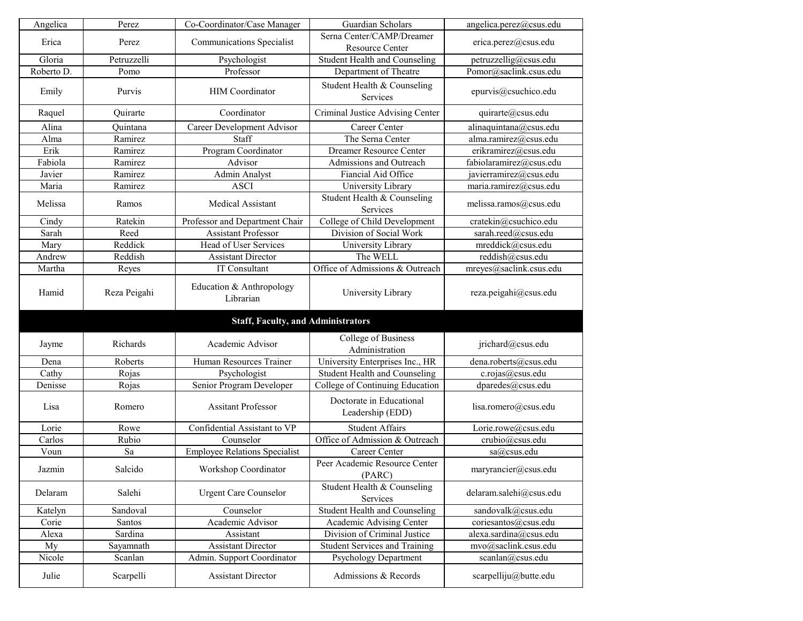| Angelica<br>Co-Coordinator/Case Manager<br>Perez<br><b>Communications Specialist</b><br>Perez<br>Erica<br>Gloria<br>Petruzzelli<br>Psychologist<br>Roberto D.<br>Professor<br>Pomo | Guardian Scholars                                   |                         |
|------------------------------------------------------------------------------------------------------------------------------------------------------------------------------------|-----------------------------------------------------|-------------------------|
|                                                                                                                                                                                    |                                                     | angelica.perez@csus.edu |
|                                                                                                                                                                                    | Serna Center/CAMP/Dreamer<br><b>Resource Center</b> | erica.perez@csus.edu    |
|                                                                                                                                                                                    | <b>Student Health and Counseling</b>                | petruzzellig@csus.edu   |
|                                                                                                                                                                                    | Department of Theatre                               | Pomor@saclink.csus.edu  |
| <b>HIM</b> Coordinator<br>Emily<br>Purvis                                                                                                                                          | Student Health & Counseling<br>Services             | epurvis@csuchico.edu    |
| Coordinator<br>Raquel<br>Quirarte                                                                                                                                                  | Criminal Justice Advising Center                    | quirarte@csus.edu       |
| Ouintana<br>Career Development Advisor<br>Alina                                                                                                                                    | <b>Career Center</b>                                | alinaquintana@csus.edu  |
| Ramirez<br>Staff<br>Alma                                                                                                                                                           | The Serna Center                                    | alma.ramirez@csus.edu   |
| Erik<br>Program Coordinator<br>Ramirez                                                                                                                                             | <b>Dreamer Resource Center</b>                      | erikramirez@csus.edu    |
| Fabiola<br>Ramirez<br>Advisor                                                                                                                                                      | <b>Admissions and Outreach</b>                      | fabiolaramirez@csus.edu |
| Javier<br>Ramirez<br>Admin Analyst                                                                                                                                                 | Fiancial Aid Office                                 | javierramirez@csus.edu  |
| Maria<br>Ramirez<br><b>ASCI</b>                                                                                                                                                    | University Library                                  | maria.ramirez@csus.edu  |
| Melissa<br><b>Medical Assistant</b><br>Ramos                                                                                                                                       | Student Health & Counseling<br>Services             | melissa.ramos@csus.edu  |
| Ratekin<br>Professor and Department Chair<br>Cindy                                                                                                                                 | College of Child Development                        | cratekin@csuchico.edu   |
| <b>Assistant Professor</b><br>Sarah<br>Reed                                                                                                                                        | Division of Social Work                             | sarah.reed@csus.edu     |
| Head of User Services<br>Reddick<br>Mary                                                                                                                                           | University Library                                  | mreddick@csus.edu       |
| Reddish<br><b>Assistant Director</b><br>Andrew                                                                                                                                     | The WELL                                            | reddish@csus.edu        |
| IT Consultant<br>Martha<br>Reyes                                                                                                                                                   | Office of Admissions & Outreach                     | mreyes@saclink.csus.edu |
| Education & Anthropology<br>Hamid<br>Reza Peigahi<br>Librarian                                                                                                                     | University Library                                  | reza.peigahi@csus.edu   |
|                                                                                                                                                                                    | <b>Staff, Faculty, and Administrators</b>           |                         |
| Richards<br>Academic Advisor<br>Jayme                                                                                                                                              | College of Business<br>Administration               | jrichard@csus.edu       |
| Roberts<br>Human Resources Trainer<br>Dena                                                                                                                                         | University Enterprises Inc., HR                     | dena.roberts@csus.edu   |
| Rojas<br>Psychologist<br>Cathy                                                                                                                                                     | <b>Student Health and Counseling</b>                | c.rojas@csus.edu        |
| Senior Program Developer<br>Denisse<br>Rojas                                                                                                                                       | College of Continuing Education                     | dparedes@csus.edu       |
| <b>Assitant Professor</b><br>Lisa<br>Romero                                                                                                                                        | Doctorate in Educational<br>Leadership (EDD)        | lisa.romero@csus.edu    |
|                                                                                                                                                                                    | <b>Student Affairs</b>                              |                         |
| Confidential Assistant to VP<br>Lorie<br>Rowe                                                                                                                                      |                                                     | Lorie.rowe@csus.edu     |
| Rubio<br>Counselor<br>Carlos                                                                                                                                                       | Office of Admission & Outreach                      | crubio@csus.edu         |
| Voun<br>Sa                                                                                                                                                                         | <b>Career Center</b>                                | sa@csus.edu             |
| <b>Employee Relations Specialist</b><br>Salcido<br>Workshop Coordinator<br>Jazmin                                                                                                  | Peer Academic Resource Center<br>(PARC)             | maryrancier@csus.edu    |
| Delaram<br>Salehi<br><b>Urgent Care Counselor</b>                                                                                                                                  | Student Health & Counseling<br>Services             | delaram.salehi@csus.edu |
| Sandoval<br>Counselor<br>Katelyn                                                                                                                                                   | <b>Student Health and Counseling</b>                | sandovalk@csus.edu      |
| Academic Advisor<br>Santos<br>Corie                                                                                                                                                | Academic Advising Center                            | coriesantos@csus.edu    |
| Sardina<br>Alexa<br>Assistant                                                                                                                                                      | Division of Criminal Justice                        | alexa.sardina@csus.edu  |
| <b>Assistant Director</b><br>Sayamnath<br>My                                                                                                                                       | <b>Student Services and Training</b>                | mvo@saclink.csus.edu    |
| Nicole<br>Scanlan<br>Admin. Support Coordinator                                                                                                                                    | <b>Psychology Department</b>                        | scanlan@csus.edu        |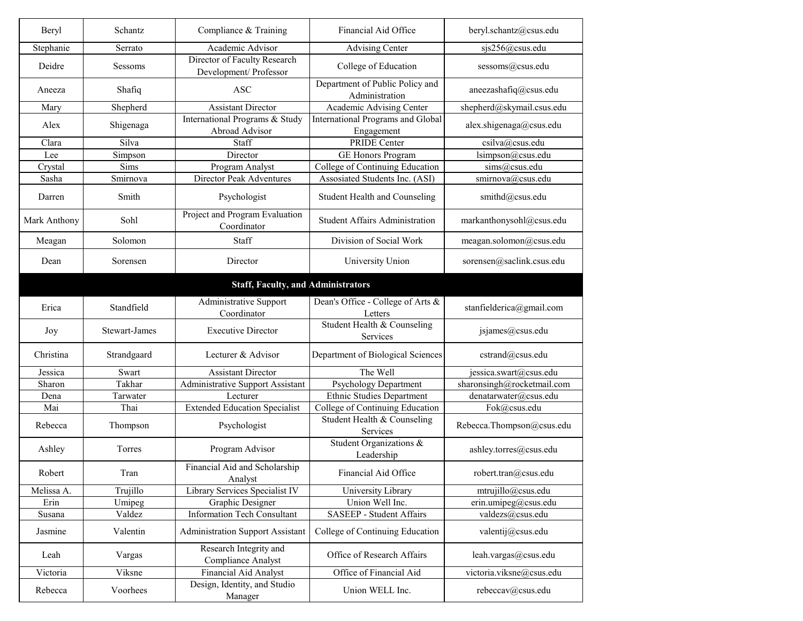| Beryl        | Schantz              | Compliance & Training                                  | Financial Aid Office                                   | beryl.schantz@csus.edu          |
|--------------|----------------------|--------------------------------------------------------|--------------------------------------------------------|---------------------------------|
| Stephanie    | Serrato              | Academic Advisor                                       | <b>Advising Center</b>                                 | sjs256@csus.edu                 |
| Deidre       | Sessoms              | Director of Faculty Research<br>Development/ Professor | College of Education                                   | sessoms@csus.edu                |
| Aneeza       | Shafiq               | <b>ASC</b>                                             | Department of Public Policy and<br>Administration      | aneezashafiq@csus.edu           |
| Mary         | Shepherd             | <b>Assistant Director</b>                              | Academic Advising Center                               | shepherd@skymail.csus.edu       |
| Alex         | Shigenaga            | International Programs & Study<br>Abroad Advisor       | <b>International Programs and Global</b><br>Engagement | alex.shigenaga@csus.edu         |
| Clara        | Silva                | Staff                                                  | <b>PRIDE Center</b>                                    | csilva@csus.edu                 |
| Lee          | Simpson              | Director                                               | <b>GE Honors Program</b>                               | lsimpson@csus.edu               |
| Crystal      | Sims                 | Program Analyst                                        | College of Continuing Education                        | sims@csus.edu                   |
| Sasha        | Smirnova             | <b>Director Peak Adventures</b>                        | Assosiated Students Inc. (ASI)                         | smirnova@csus.edu               |
|              |                      |                                                        |                                                        |                                 |
| Darren       | Smith                | Psychologist                                           | <b>Student Health and Counseling</b>                   | smithd@csus.edu                 |
| Mark Anthony | Sohl                 | Project and Program Evaluation<br>Coordinator          | <b>Student Affairs Administration</b>                  | markanthonysohl@csus.edu        |
| Meagan       | Solomon              | <b>Staff</b>                                           | Division of Social Work                                | meagan.solomon@csus.edu         |
| Dean         | Sorensen             | Director                                               | University Union                                       | sorensen@saclink.csus.edu       |
|              |                      | <b>Staff, Faculty, and Administrators</b>              |                                                        |                                 |
| Erica        | Standfield           | <b>Administrative Support</b><br>Coordinator           | Dean's Office - College of Arts &<br>Letters           | stanfielderica@gmail.com        |
| Joy          | <b>Stewart-James</b> | <b>Executive Director</b>                              | Student Health & Counseling<br><b>Services</b>         | jsjames@csus.edu                |
| Christina    | Strandgaard          | Lecturer & Advisor                                     | Department of Biological Sciences                      | cstrand@csus.edu                |
| Jessica      | Swart                | <b>Assistant Director</b>                              | The Well                                               | jessica.swart@csus.edu          |
| Sharon       | Takhar               | Administrative Support Assistant                       | <b>Psychology Department</b>                           | sharonsingh@rocketmail.com      |
| Dena         | Tarwater             | Lecturer                                               | <b>Ethnic Studies Department</b>                       | denatarwater@csus.edu           |
| Mai          | Thai                 | <b>Extended Education Specialist</b>                   | College of Continuing Education                        | Fok@csus.edu                    |
| Rebecca      | Thompson             | Psychologist                                           | Student Health & Counseling<br>Services                | Rebecca.Thompson@csus.edu       |
| Ashley       | Torres               | Program Advisor                                        | Student Organizations &<br>Leadership                  | ashley.torres@csus.edu          |
| Robert       | Tran                 | Financial Aid and Scholarship<br>Analyst               | Financial Aid Office                                   | robert.tran@csus.edu            |
| Melissa A.   | Trujillo             | Library Services Specialist IV                         | University Library                                     | mtrujillo@csus.edu              |
| Erin         | Umipeg               | Graphic Designer                                       | Union Well Inc.                                        | erin.umipeg@csus.edu            |
| Susana       | Valdez               | <b>Information Tech Consultant</b>                     | <b>SASEEP - Student Affairs</b>                        | valdezs@csus.edu                |
| Jasmine      | Valentin             | <b>Administration Support Assistant</b>                | College of Continuing Education                        | valentij@csus.edu               |
| Leah         | Vargas               | Research Integrity and<br><b>Compliance Analyst</b>    | Office of Research Affairs                             | $\mathit{leah.vargas@csus.edu}$ |
| Victoria     | Viksne               | <b>Financial Aid Analyst</b>                           | Office of Financial Aid                                | victoria.viksne@csus.edu        |
| Rebecca      | Voorhees             | Design, Identity, and Studio<br>Manager                | Union WELL Inc.                                        | rebeccav@csus.edu               |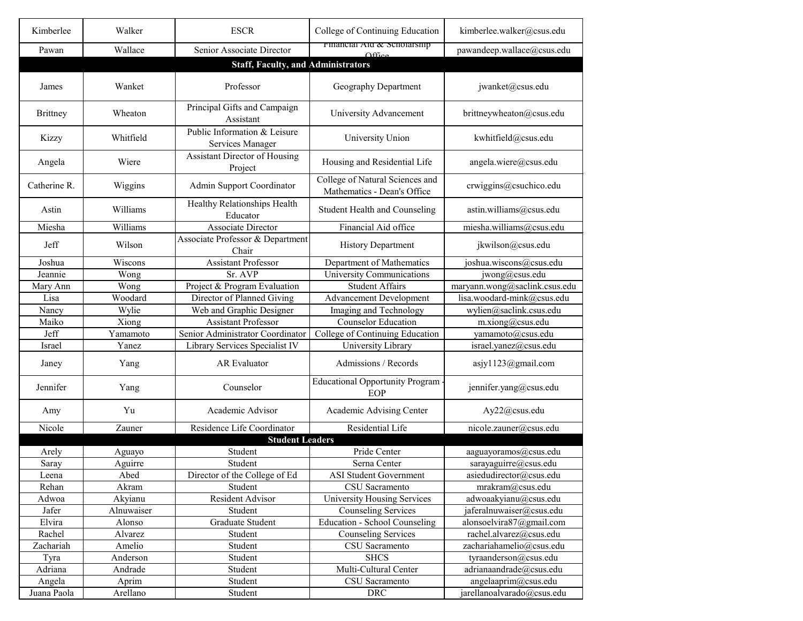| Kimberlee       | Walker     | <b>ESCR</b>                                      | College of Continuing Education                                | kimberlee.walker@csus.edu     |
|-----------------|------------|--------------------------------------------------|----------------------------------------------------------------|-------------------------------|
| Pawan           | Wallace    | Senior Associate Director                        | Financial Aid & Scholarship<br>$\triangle$ ffice               | pawandeep.wallace@csus.edu    |
|                 |            | <b>Staff, Faculty, and Administrators</b>        |                                                                |                               |
|                 |            |                                                  |                                                                |                               |
| James           | Wanket     | Professor                                        | <b>Geography Department</b>                                    | jwanket@csus.edu              |
| <b>Brittney</b> | Wheaton    | Principal Gifts and Campaign<br>Assistant        | University Advancement                                         | brittneywheaton@csus.edu      |
| Kizzy           | Whitfield  | Public Information & Leisure<br>Services Manager | University Union                                               | kwhitfield@csus.edu           |
| Angela          | Wiere      | <b>Assistant Director of Housing</b><br>Project  | Housing and Residential Life                                   | angela.wiere@csus.edu         |
| Catherine R.    | Wiggins    | <b>Admin Support Coordinator</b>                 | College of Natural Sciences and<br>Mathematics - Dean's Office | crwiggins@csuchico.edu        |
| Astin           | Williams   | Healthy Relationships Health<br>Educator         | <b>Student Health and Counseling</b>                           | astin.williams@csus.edu       |
| Miesha          | Williams   | <b>Associate Director</b>                        | Financial Aid office                                           | miesha.williams@csus.edu      |
| Jeff            | Wilson     | Associate Professor & Department<br>Chair        | <b>History Department</b>                                      | jkwilson@csus.edu             |
| Joshua          | Wiscons    | <b>Assistant Professor</b>                       | Department of Mathematics                                      | joshua.wiscons@csus.edu       |
| Jeannie         | Wong       | Sr. AVP                                          | University Communications                                      | $jwong(a)$ csus.edu           |
| Mary Ann        | Wong       | Project & Program Evaluation                     | <b>Student Affairs</b>                                         | maryann.wong@saclink.csus.edu |
| Lisa            | Woodard    | Director of Planned Giving                       | <b>Advancement Development</b>                                 | lisa.woodard-mink@csus.edu    |
| Nancy           | Wylie      | Web and Graphic Designer                         | Imaging and Technology                                         | wylien@saclink.csus.edu       |
| Maiko           | Xiong      | <b>Assistant Professor</b>                       | <b>Counselor Education</b>                                     | m.xiong@csus.edu              |
| Jeff            | Yamamoto   | Senior Administrator Coordinator                 | College of Continuing Education                                | yamamoto@csus.edu             |
| Israel          | Yanez      | Library Services Specialist IV                   | University Library                                             | israel.yanez@csus.edu         |
| Janey           | Yang       | <b>AR</b> Evaluator                              | Admissions / Records                                           | asjy $1123$ @gmail.com        |
| Jennifer        | Yang       | Counselor                                        | <b>Educational Opportunity Program</b><br>EOP                  | jennifer.yang@csus.edu        |
| Amy             | Yu         | Academic Advisor                                 | Academic Advising Center                                       | Ay22@csus.edu                 |
| Nicole          | Zauner     | Residence Life Coordinator                       | Residential Life                                               | nicole.zauner@csus.edu        |
|                 |            | <b>Student Leaders</b>                           |                                                                |                               |
| Arely           | Aguayo     | Student                                          | Pride Center                                                   | aaguayoramos@csus.edu         |
| Saray           | Aguirre    | Student                                          | Serna Center                                                   | sarayaguirre@csus.edu         |
| Leena           | Abed       | Director of the College of Ed                    | <b>ASI Student Government</b>                                  | asiedudirector@csus.edu       |
| Rehan           | Akram      | Student                                          | CSU Sacramento                                                 | mrakram@csus.edu              |
| Adwoa           | Akyianu    | Resident Advisor                                 | <b>University Housing Services</b>                             | adwoaakyianu@csus.edu         |
| Jafer           | Alnuwaiser | Student                                          | <b>Counseling Services</b>                                     | jaferalnuwaiser@csus.edu      |
| Elvira          | Alonso     | <b>Graduate Student</b>                          | Education - School Counseling                                  | alonsoelvira87@gmail.com      |
| Rachel          | Alvarez    | Student                                          | <b>Counseling Services</b>                                     | rachel.alvarez@csus.edu       |
| Zachariah       | Amelio     | Student                                          | CSU Sacramento                                                 | zachariahamelio@csus.edu      |
| Tyra            | Anderson   | Student                                          | <b>SHCS</b>                                                    | tyraanderson@csus.edu         |
| Adriana         | Andrade    | Student                                          | Multi-Cultural Center                                          | adrianaandrade@csus.edu       |
| Angela          | Aprim      | Student                                          | CSU Sacramento                                                 | angelaaprim@csus.edu          |
| Juana Paola     | Arellano   | Student                                          | <b>DRC</b>                                                     | jarellanoalvarado@csus.edu    |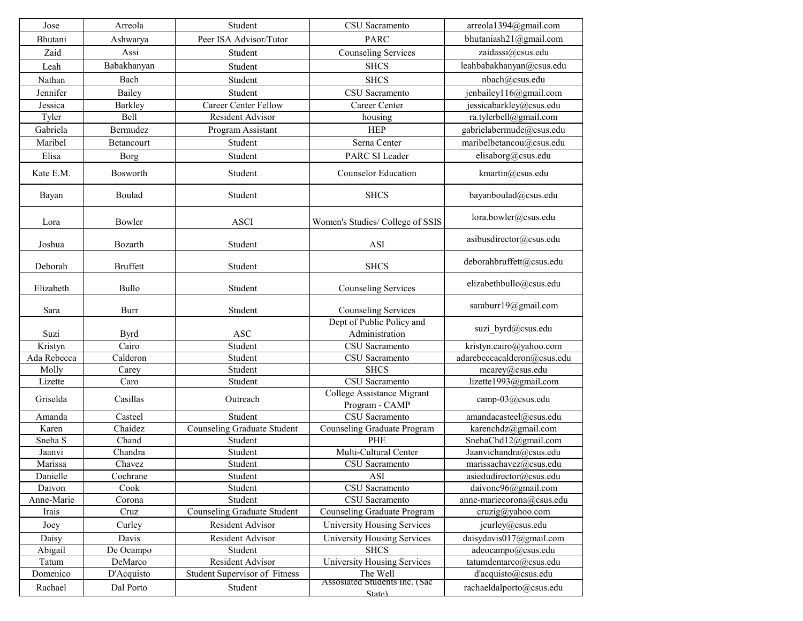| Jose               | Arreola         | Student                              | <b>CSU</b> Sacramento                          | arreola1394@gmail.com       |
|--------------------|-----------------|--------------------------------------|------------------------------------------------|-----------------------------|
| Bhutani            | Ashwarya        | Peer ISA Advisor/Tutor               | <b>PARC</b>                                    | bhutaniash21@gmail.com      |
| Zaid               | Assi            | Student                              | <b>Counseling Services</b>                     | zaidassi@csus.edu           |
| Leah               | Babakhanyan     | Student                              | <b>SHCS</b>                                    | leahbabakhanyan@csus.edu    |
| Nathan             | Bach            | Student                              | <b>SHCS</b>                                    | nbach@csus.edu              |
| Jennifer           | Bailey          | Student                              | CSU Sacramento                                 | jenbailey116@gmail.com      |
| Jessica            | <b>Barkley</b>  | <b>Career Center Fellow</b>          | <b>Career Center</b>                           | jessicabarkley@csus.edu     |
| Tyler              | <b>Bell</b>     | <b>Resident Advisor</b>              | housing                                        | ra.tylerbell@gmail.com      |
| Gabriela           | Bermudez        | Program Assistant                    | <b>HEP</b>                                     | gabrielabermude@csus.edu    |
| Maribel            | Betancourt      | Student                              | Serna Center                                   | maribelbetancou@csus.edu    |
| Elisa              | <b>Borg</b>     | Student                              | PARC SI Leader                                 | elisaborg@csus.edu          |
| Kate E.M.          | Bosworth        | Student                              | <b>Counselor Education</b>                     | kmartin@csus.edu            |
| Bayan              | Boulad          | Student                              | <b>SHCS</b>                                    | bayanboulad@csus.edu        |
| Lora               | Bowler          | <b>ASCI</b>                          | Women's Studies/College of SSIS                | lora.bowler@csus.edu        |
| Joshua             | Bozarth         | Student                              | <b>ASI</b>                                     | asibusdirector@csus.edu     |
| Deborah            | <b>Bruffett</b> | Student                              | <b>SHCS</b>                                    | deborahbruffett@csus.edu    |
| Elizabeth          | <b>Bullo</b>    | Student                              | <b>Counseling Services</b>                     | elizabethbullo@csus.edu     |
| Sara               | <b>Burr</b>     | Student                              | <b>Counseling Services</b>                     | saraburr19@gmail.com        |
| Suzi               | <b>Byrd</b>     | <b>ASC</b>                           | Dept of Public Policy and<br>Administration    | suzi_byrd@csus.edu          |
| Kristyn            | Cairo           | Student                              | <b>CSU</b> Sacramento                          | kristyn.cairo@yahoo.com     |
| Ada Rebecca        | Calderon        | Student                              | CSU Sacramento                                 | adarebeccacalderon@csus.edu |
| Molly              | Carey           | Student                              | <b>SHCS</b>                                    | $\text{mcarey}(a)$ csus.edu |
| Lizette            | Caro            | Student                              | CSU Sacramento                                 | lizette1993@gmail.com       |
| Griselda           | Casillas        | Outreach                             | College Assistance Migrant<br>Program - CAMP   | camp-03@csus.edu            |
| Amanda             | Casteel         | Student                              | CSU Sacramento                                 | amandacasteel@csus.edu      |
| Karen              | Chaidez         | <b>Counseling Graduate Student</b>   | <b>Counseling Graduate Program</b>             | karenchdz@gmail.com         |
| Sneha <sub>S</sub> | Chand           | Student                              | <b>PHE</b>                                     | SnehaChd $12@$ gmail.com    |
| Jaanvi             | Chandra         | Student                              | Multi-Cultural Center                          | Jaanvichandra@csus.edu      |
| Marissa            | Chavez          | Student                              | CSU Sacramento                                 | marissachavez@csus.edu      |
| Danielle           | Cochrane        | Student                              | <b>ASI</b>                                     | asiedudirector@csus.edu     |
| Daivon             | Cook            | Student                              | CSU Sacramento                                 | daivonc96@gmail.com         |
| Anne-Marie         | Corona          | Student                              | CSU Sacramento                                 | anne-mariecorona@csus.edu   |
| Irais              | Cruz            | <b>Counseling Graduate Student</b>   | <b>Counseling Graduate Program</b>             | cruzig@yahoo.com            |
| Joey               | Curley          | Resident Advisor                     | <b>University Housing Services</b>             | jcurley@csus.edu            |
| Daisy              | Davis           | <b>Resident Advisor</b>              | <b>University Housing Services</b>             | daisydavis017@gmail.com     |
| Abigail            | De Ocampo       | Student                              | <b>SHCS</b>                                    | adeocampo@csus.edu          |
| Tatum              | DeMarco         | <b>Resident Advisor</b>              | <b>University Housing Services</b><br>The Well | tatumdemarco@csus.edu       |
| Domenico           | D'Acquisto      | <b>Student Supervisor of Fitness</b> | Assosiated Students Inc. (Sac                  | d'acquisto@csus.edu         |
| Rachael            | Dal Porto       | Student                              | State)                                         | rachaeldalporto@csus.edu    |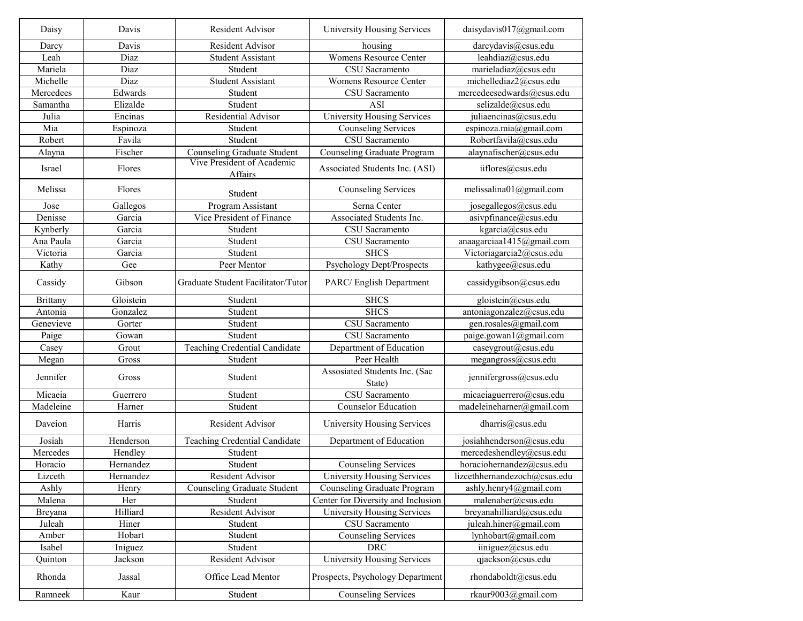| Daisy             | Davis     | <b>Resident Advisor</b>            | <b>University Housing Services</b>      | daisydavis $017$ @gmail.com  |
|-------------------|-----------|------------------------------------|-----------------------------------------|------------------------------|
| Darcy             | Davis     | <b>Resident Advisor</b>            | housing                                 | darcydavis@csus.edu          |
| Leah              | Diaz      | <b>Student Assistant</b>           | <b>Womens Resource Center</b>           | leahdiaz@csus.edu            |
| Mariela           | Diaz      | Student                            | CSU Sacramento                          | marieladiaz@csus.edu         |
| Michelle          | Diaz      | <b>Student Assistant</b>           | <b>Womens Resource Center</b>           | michellediaz2@csus.edu       |
| Mercedees         | Edwards   | Student                            | CSU Sacramento                          | mercedeesedwards@csus.edu    |
| Samantha          | Elizalde  | Student                            | <b>ASI</b>                              | selizalde@csus.edu           |
| Julia             | Encinas   | Residential Advisor                | <b>University Housing Services</b>      | juliaencinas@csus.edu        |
| Mia               | Espinoza  | Student                            | <b>Counseling Services</b>              | espinoza.mia@gmail.com       |
| Robert            | Favila    | Student                            | <b>CSU</b> Sacramento                   | Robertfavila@csus.edu        |
| Alayna            | Fischer   | <b>Counseling Graduate Student</b> | <b>Counseling Graduate Program</b>      | alaynafischer@csus.edu       |
|                   |           | Vive President of Academic         |                                         |                              |
| Israel            | Flores    | Affairs                            | Associated Students Inc. (ASI)          | iiflores@csus.edu            |
| Melissa           | Flores    | Student                            | <b>Counseling Services</b>              | melissalina01@gmail.com      |
| Jose              | Gallegos  | Program Assistant                  | Serna Center                            | josegallegos@csus.edu        |
| Denisse           | Garcia    | Vice President of Finance          | Associated Students Inc.                | asivpfinance@csus.edu        |
| Kynberly          | Garcia    | Student                            | CSU Sacramento                          | kgarcia@csus.edu             |
| Ana Paula         | Garcia    | Student                            | CSU Sacramento                          | anaagarciaa1415@gmail.com    |
| Victoria          | Garcia    | Student                            | <b>SHCS</b>                             | Victoriagarcia2@csus.edu     |
| Kathy             | Gee       | Peer Mentor                        | Psychology Dept/Prospects               | kathygee@csus.edu            |
| Cassidy           | Gibson    | Graduate Student Facilitator/Tutor | PARC/English Department                 | cassidygibson@csus.edu       |
| <b>Brittany</b>   | Gloistein | Student                            | <b>SHCS</b>                             | gloistein@csus.edu           |
| Antonia           | Gonzalez  | Student                            | <b>SHCS</b>                             | antoniagonzalez@csus.edu     |
| Genevieve         | Gorter    | Student                            | <b>CSU</b> Sacramento                   | gen.rosales@gmail.com        |
| Paige             | Gowan     | Student                            | CSU Sacramento                          | paige.gowan1@gmail.com       |
| Casey             | Grout     | Teaching Credential Candidate      | Department of Education                 | caseygrout@csus.edu          |
| Megan             | Gross     | Student                            | Peer Health                             | megangross@csus.edu          |
| Jennifer          | Gross     | Student                            | Assosiated Students Inc. (Sac<br>State) | jennifergross@csus.edu       |
| Micaeia           | Guerrero  | Student                            | CSU Sacramento                          | micaeiaguerrero@csus.edu     |
| Madeleine         | Harner    | Student                            | <b>Counselor Education</b>              | madeleineharner@gmail.com    |
| Daveion           | Harris    | <b>Resident Advisor</b>            | <b>University Housing Services</b>      | dharris@csus.edu             |
| Josiah            | Henderson | Teaching Credential Candidate      | Department of Education                 | josiahhenderson@csus.edu     |
| Mercedes          | Hendley   | Student                            |                                         | mercedeshendley@csus.edu     |
| Horacio           | Hernandez | Student                            | <b>Counseling Services</b>              | horaciohernandez@csus.edu    |
| Lizceth           | Hernandez | Resident Advisor                   | University Housing Services             | lizcethhernandezoch@csus.edu |
| Ashly             | Henry     | <b>Counseling Graduate Student</b> | <b>Counseling Graduate Program</b>      | ashly.henry4@gmail.com       |
| Malena            | Her       | Student                            | Center for Diversity and Inclusion      | malenaher@csus.edu           |
|                   | Hilliard  | Resident Advisor                   | <b>University Housing Services</b>      | breyanahilliard@csus.edu     |
| Breyana<br>Juleah | Hiner     | Student                            | CSU Sacramento                          | juleah.hiner@gmail.com       |
|                   |           | Student                            |                                         |                              |
| Amber             | Hobart    |                                    | <b>Counseling Services</b>              | lynhobart@gmail.com          |
| Isabel            | Iniguez   | Student                            | <b>DRC</b>                              | $i$ iniguez $(a)$ csus.edu   |
| Quinton           | Jackson   | Resident Advisor                   | University Housing Services             | qjackson@csus.edu            |
| Rhonda            | Jassal    | Office Lead Mentor                 | Prospects, Psychology Department        | rhondaboldt@csus.edu         |
| Ramneek           | Kaur      | Student                            | <b>Counseling Services</b>              | rkaur9003@gmail.com          |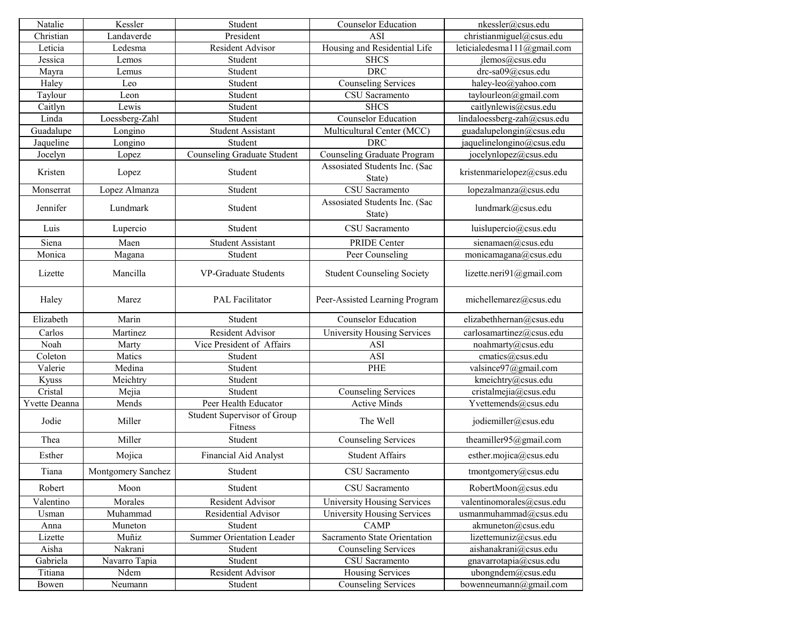| Natalie       | Kessler            | Student                                | <b>Counselor Education</b>              | nkessler@csus.edu            |
|---------------|--------------------|----------------------------------------|-----------------------------------------|------------------------------|
| Christian     | Landaverde         | President                              | <b>ASI</b>                              | christianmiguel@csus.edu     |
| Leticia       | Ledesma            | Resident Advisor                       | Housing and Residential Life            | leticialedesmal 11@gmail.com |
| Jessica       | Lemos              | Student                                | <b>SHCS</b>                             | ilemos@csus.edu              |
| Mayra         | Lemus              | Student                                | <b>DRC</b>                              | drc-sa09@csus.edu            |
| Haley         | Leo                | Student                                | <b>Counseling Services</b>              | haley-leo@yahoo.com          |
| Taylour       | Leon               | Student                                | CSU Sacramento                          | taylourleon@gmail.com        |
| Caitlyn       | Lewis              | Student                                | <b>SHCS</b>                             | caitlynlewis@csus.edu        |
| Linda         | Loessberg-Zahl     | Student                                | <b>Counselor Education</b>              | lindaloessberg-zah@csus.edu  |
| Guadalupe     | Longino            | <b>Student Assistant</b>               | Multicultural Center (MCC)              | guadalupelongin@csus.edu     |
| Jaqueline     | Longino            | Student                                | <b>DRC</b>                              | jaquelinelongino@csus.edu    |
| Jocelyn       | Lopez              | <b>Counseling Graduate Student</b>     | <b>Counseling Graduate Program</b>      | jocelynlopez@csus.edu        |
| Kristen       | Lopez              | Student                                | Assosiated Students Inc. (Sac<br>State) | kristenmarielopez@csus.edu   |
| Monserrat     | Lopez Almanza      | Student                                | CSU Sacramento                          | lopezalmanza@csus.edu        |
| Jennifer      | Lundmark           | Student                                | Assosiated Students Inc. (Sac<br>State) | lundmark@csus.edu            |
| Luis          | Lupercio           | Student                                | CSU Sacramento                          | luislupercio@csus.edu        |
| Siena         | Maen               | <b>Student Assistant</b>               | <b>PRIDE Center</b>                     | sienamaen@csus.edu           |
| Monica        | Magana             | Student                                | Peer Counseling                         | monicamagana@csus.edu        |
| Lizette       | Mancilla           | <b>VP-Graduate Students</b>            | <b>Student Counseling Society</b>       | lizette.neri $91$ @gmail.com |
| Haley         | Marez              | <b>PAL Facilitator</b>                 | Peer-Assisted Learning Program          | michellemarez@csus.edu       |
| Elizabeth     | Marin              | Student                                | <b>Counselor Education</b>              | elizabethhernan@csus.edu     |
| Carlos        | Martinez           | Resident Advisor                       | University Housing Services             | carlosamartinez@csus.edu     |
| Noah          | Marty              | Vice President of Affairs              | <b>ASI</b>                              | noahmarty@csus.edu           |
| Coleton       | Matics             | Student                                | <b>ASI</b>                              | cmatics@csus.edu             |
| Valerie       | Medina             | Student                                | <b>PHE</b>                              | valsince97@gmail.com         |
| Kyuss         | Meichtry           | Student                                |                                         | kmeichtry@csus.edu           |
| Cristal       | Mejia              | Student                                | <b>Counseling Services</b>              | cristalmejia@csus.edu        |
| Yvette Deanna | Mends              | Peer Health Educator                   | <b>Active Minds</b>                     | Yvettemends@csus.edu         |
| Jodie         | Miller             | Student Supervisor of Group<br>Fitness | The Well                                | jodiemiller@csus.edu         |
| Thea          | Miller             | Student                                | <b>Counseling Services</b>              | theamiller95@gmail.com       |
| Esther        | Mojica             | Financial Aid Analyst                  | <b>Student Affairs</b>                  | esther.mojica@csus.edu       |
| Tiana         | Montgomery Sanchez | Student                                | CSU Sacramento                          | tmontgomery@csus.edu         |
| Robert        | Moon               | Student                                | CSU Sacramento                          | RobertMoon@csus.edu          |
| Valentino     | Morales            | <b>Resident Advisor</b>                | <b>University Housing Services</b>      | valentinomorales@csus.edu    |
| Usman         | Muhammad           | <b>Residential Advisor</b>             | University Housing Services             | usmanmuhammad@csus.edu       |
| Anna          | Muneton            | Student                                | <b>CAMP</b>                             | akmuneton@csus.edu           |
| Lizette       | Muñiz              | <b>Summer Orientation Leader</b>       | Sacramento State Orientation            | lizettemuniz@csus.edu        |
| Aisha         | Nakrani            | Student                                | <b>Counseling Services</b>              | aishanakrani@csus.edu        |
| Gabriela      | Navarro Tapia      | Student                                | CSU Sacramento                          | gnavarrotapia@csus.edu       |
| Titiana       | Ndem               | <b>Resident Advisor</b>                | <b>Housing Services</b>                 | ubongndem@csus.edu           |
| Bowen         | Neumann            | Student                                | <b>Counseling Services</b>              | bowenneumann@gmail.com       |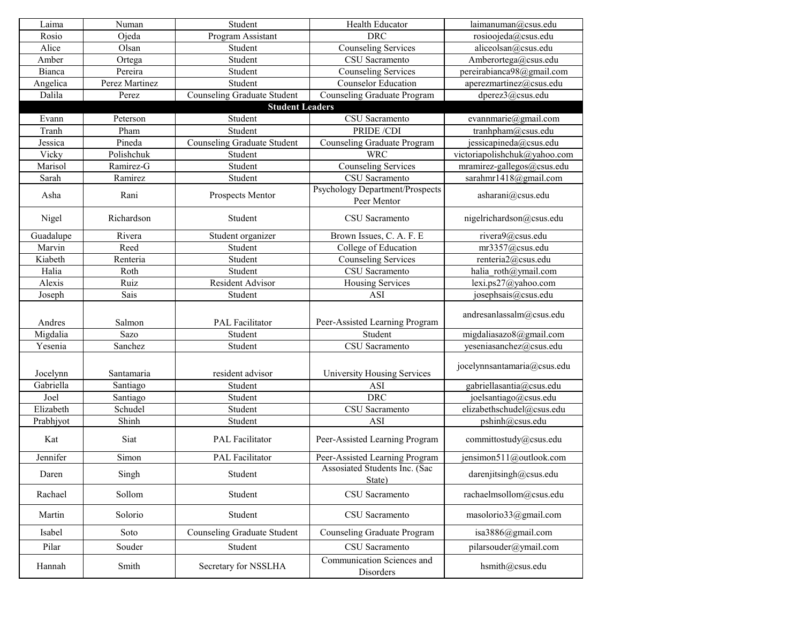| Laima     | Numan          | Student                            | Health Educator                                       | laimanuman@csus.edu          |
|-----------|----------------|------------------------------------|-------------------------------------------------------|------------------------------|
| Rosio     | Ojeda          | Program Assistant                  | <b>DRC</b>                                            | rosioojeda@csus.edu          |
| Alice     | Olsan          | Student                            | <b>Counseling Services</b>                            | aliceolsan@csus.edu          |
| Amber     | Ortega         | Student                            | CSU Sacramento                                        | Amberortega@csus.edu         |
| Bianca    | Pereira        | Student                            | <b>Counseling Services</b>                            | pereirabianca98@gmail.com    |
| Angelica  | Perez Martinez | Student                            | <b>Counselor Education</b>                            | aperezmartinez@csus.edu      |
| Dalila    | Perez          | <b>Counseling Graduate Student</b> | <b>Counseling Graduate Program</b>                    | dperez3@csus.edu             |
|           |                | <b>Student Leaders</b>             |                                                       |                              |
| Evann     | Peterson       | Student                            | <b>CSU</b> Sacramento                                 | evannmarie@gmail.com         |
| Tranh     | Pham           | Student                            | PRIDE /CDI                                            | tranhpham@csus.edu           |
| Jessica   | Pineda         | <b>Counseling Graduate Student</b> | <b>Counseling Graduate Program</b>                    | jessicapineda@csus.edu       |
| Vicky     | Polishchuk     | Student                            | <b>WRC</b>                                            | victoriapolishchuk@yahoo.com |
| Marisol   | Ramirez-G      | Student                            | <b>Counseling Services</b>                            | mramirez-gallegos@csus.edu   |
| Sarah     | Ramirez        | Student                            | CSU Sacramento                                        | sarahmr1418@gmail.com        |
| Asha      | Rani           | Prospects Mentor                   | <b>Psychology Department/Prospects</b><br>Peer Mentor | asharani@csus.edu            |
| Nigel     | Richardson     | Student                            | CSU Sacramento                                        | nigelrichardson@csus.edu     |
| Guadalupe | Rivera         | Student organizer                  | Brown Issues, C. A. F. E                              | rivera9@csus.edu             |
| Marvin    | Reed           | Student                            | College of Education                                  | mr3357@csus.edu              |
| Kiabeth   | Renteria       | Student                            | <b>Counseling Services</b>                            | renteria2@csus.edu           |
| Halia     | Roth           | Student                            | CSU Sacramento                                        | halia roth@ymail.com         |
| Alexis    | Ruiz           | Resident Advisor                   | <b>Housing Services</b>                               | lexi.ps27@yahoo.com          |
| Joseph    | Sais           | Student                            | ASI                                                   | josephsais@csus.edu          |
| Andres    | Salmon         | <b>PAL Facilitator</b>             | Peer-Assisted Learning Program                        | andresanlassalm@csus.edu     |
| Migdalia  | Sazo           | Student                            | Student                                               | migdaliasazo8@gmail.com      |
| Yesenia   | Sanchez        | Student                            | CSU Sacramento                                        | yeseniasanchez@csus.edu      |
| Jocelynn  | Santamaria     | resident advisor                   | University Housing Services                           | jocelynnsantamaria@csus.edu  |
| Gabriella | Santiago       | Student                            | ASI                                                   | gabriellasantia@csus.edu     |
| Joel      | Santiago       | Student                            | <b>DRC</b>                                            | joelsantiago@csus.edu        |
| Elizabeth | Schudel        | Student                            | CSU Sacramento                                        | elizabethschudel@csus.edu    |
| Prabhjyot | Shinh          | Student                            | <b>ASI</b>                                            | pshinh@csus.edu              |
| Kat       | Siat           | <b>PAL Facilitator</b>             | Peer-Assisted Learning Program                        | committostudy@csus.edu       |
| Jennifer  | Simon          | <b>PAL Facilitator</b>             | Peer-Assisted Learning Program                        | jensimon511@outlook.com      |
| Daren     | Singh          | Student                            | Assosiated Students Inc. (Sac<br>State)               | darenjitsingh@csus.edu       |
| Rachael   | Sollom         | Student                            | CSU Sacramento                                        | rachaelmsollom@csus.edu      |
| Martin    | Solorio        | Student                            | CSU Sacramento                                        | masolorio33@gmail.com        |
| Isabel    | Soto           | <b>Counseling Graduate Student</b> | <b>Counseling Graduate Program</b>                    | isa3886@gmail.com            |
| Pilar     | Souder         | Student                            | CSU Sacramento                                        | pilarsouder@ymail.com        |
| Hannah    | Smith          | Secretary for NSSLHA               | Communication Sciences and<br>Disorders               | hsmith@csus.edu              |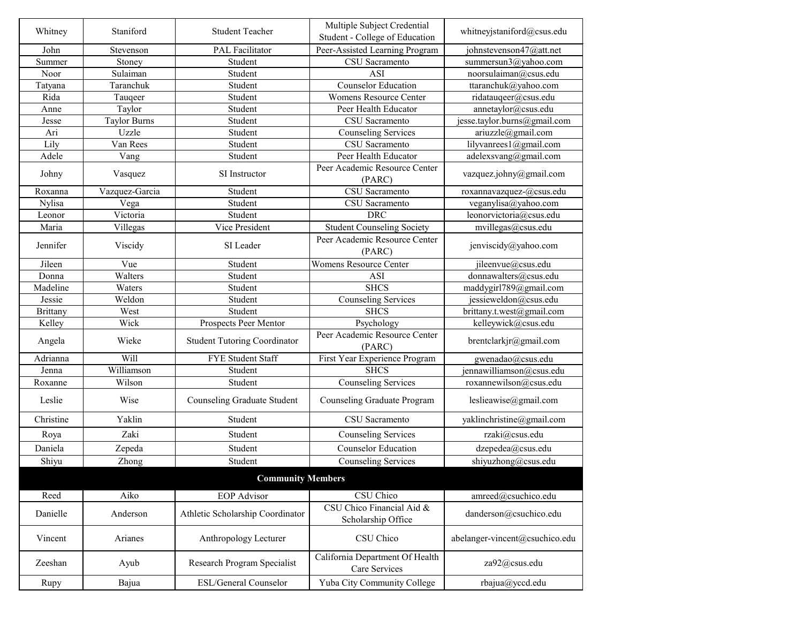| Whitney         | Staniford           | <b>Student Teacher</b>              | Multiple Subject Credential<br>Student - College of Education | whitneyjstaniford@csus.edu     |
|-----------------|---------------------|-------------------------------------|---------------------------------------------------------------|--------------------------------|
| John            | Stevenson           | <b>PAL Facilitator</b>              | Peer-Assisted Learning Program                                | johnstevenson47@att.net        |
| Summer          | Stoney              | Student                             | CSU Sacramento                                                | summersun3@yahoo.com           |
| Noor            | Sulaiman            | Student                             | <b>ASI</b>                                                    | noorsulaiman@csus.edu          |
| Tatyana         | Taranchuk           | Student                             | <b>Counselor Education</b>                                    | ttaranchuk@yahoo.com           |
| Rida            | Tauqeer             | Student                             | <b>Womens Resource Center</b>                                 | ridatauqeer@csus.edu           |
| Anne            | Taylor              | Student                             | Peer Health Educator                                          | annetaylor@csus.edu            |
| Jesse           | <b>Taylor Burns</b> | Student                             | CSU Sacramento                                                | jesse.taylor.burns@gmail.com   |
| Ari             | Uzzle               | Student                             | <b>Counseling Services</b>                                    | ariuzzle@gmail.com             |
| Lily            | Van Rees            | Student                             | CSU Sacramento                                                | lilyvanrees1@gmail.com         |
| Adele           | Vang                | Student                             | Peer Health Educator                                          | adelexsvang@gmail.com          |
| Johny           | Vasquez             | SI Instructor                       | Peer Academic Resource Center<br>(PARC)                       | vazquez.johny@gmail.com        |
| Roxanna         | Vazquez-Garcia      | Student                             | <b>CSU</b> Sacramento                                         | roxannavazquez-@csus.edu       |
| <b>Nylisa</b>   | Vega                | Student                             | CSU Sacramento                                                | veganylisa@yahoo.com           |
| Leonor          | Victoria            | Student                             | <b>DRC</b>                                                    | leonorvictoria@csus.edu        |
| Maria           | Villegas            | Vice President                      | <b>Student Counseling Society</b>                             | mvillegas@csus.edu             |
| Jennifer        | Viscidy             | SI Leader                           | Peer Academic Resource Center<br>(PARC)                       | jenviscidy@yahoo.com           |
| Jileen          | Vue                 | Student                             | <b>Womens Resource Center</b>                                 | jileenvue@csus.edu             |
| Donna           | Walters             | Student                             | <b>ASI</b>                                                    | donnawalters@csus.edu          |
| Madeline        | Waters              | Student                             | <b>SHCS</b>                                                   | maddygirl789@gmail.com         |
| Jessie          | Weldon              | Student                             | <b>Counseling Services</b>                                    | jessieweldon@csus.edu          |
| <b>Brittany</b> | West                | Student                             | <b>SHCS</b>                                                   | brittany.t.west@gmail.com      |
| Kelley          | Wick                | Prospects Peer Mentor               | Psychology                                                    | kelleywick@csus.edu            |
| Angela          | Wieke               | <b>Student Tutoring Coordinator</b> | Peer Academic Resource Center<br>(PARC)                       | brentclarkjr@gmail.com         |
| Adrianna        | Will                | <b>FYE Student Staff</b>            | First Year Experience Program                                 | gwenadao@csus.edu              |
| Jenna           | Williamson          | Student                             | <b>SHCS</b>                                                   | jennawilliamson@csus.edu       |
| Roxanne         | Wilson              | Student                             | <b>Counseling Services</b>                                    | roxannewilson@csus.edu         |
| Leslie          | Wise                | <b>Counseling Graduate Student</b>  | <b>Counseling Graduate Program</b>                            | leslieawise@gmail.com          |
| Christine       | Yaklin              | Student                             | CSU Sacramento                                                | yaklinchristine@gmail.com      |
| Roya            | Zaki                | Student                             | <b>Counseling Services</b>                                    | rzaki@csus.edu                 |
| Daniela         | Zepeda              | Student                             | <b>Counselor Education</b>                                    | dzepedea@csus.edu              |
| Shiyu           | Zhong               | Student                             | <b>Counseling Services</b>                                    | shiyuzhong@csus.edu            |
|                 |                     | <b>Community Members</b>            |                                                               |                                |
| Reed            | Aiko                | <b>EOP</b> Advisor                  | CSU Chico                                                     | amreed@csuchico.edu            |
| Danielle        | Anderson            | Athletic Scholarship Coordinator    | CSU Chico Financial Aid &<br>Scholarship Office               | danderson@csuchico.edu         |
| Vincent         | Arianes             | Anthropology Lecturer               | CSU Chico                                                     | abelanger-vincent@csuchico.edu |
| Zeeshan         | Ayub                | Research Program Specialist         | California Department Of Health<br>Care Services              | za92@csus.edu                  |
| Rupy            | Bajua               | <b>ESL/General Counselor</b>        | Yuba City Community College                                   | rbajua@yccd.edu                |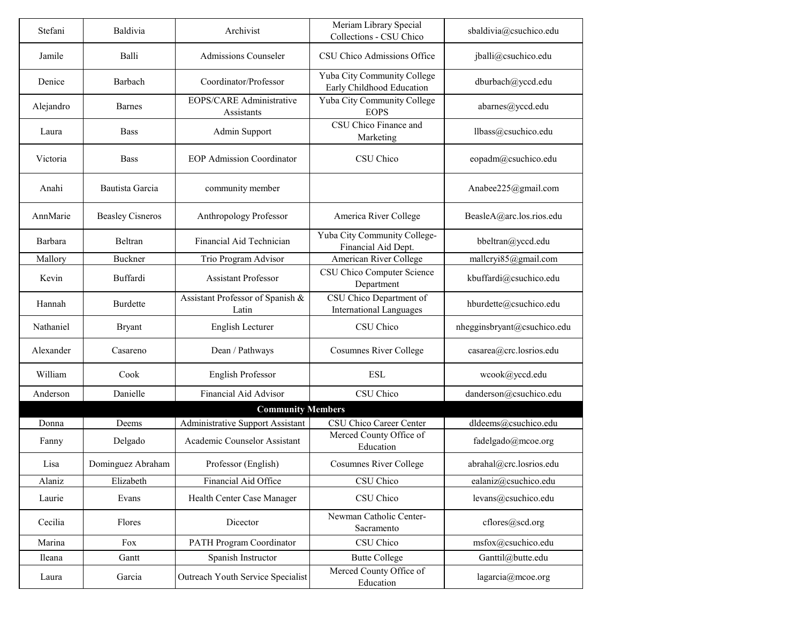| Stefani   | Baldivia                | Archivist                                     | Meriam Library Special<br>Collections - CSU Chico         | sbaldivia@csuchico.edu      |
|-----------|-------------------------|-----------------------------------------------|-----------------------------------------------------------|-----------------------------|
| Jamile    | Balli                   | <b>Admissions Counseler</b>                   | CSU Chico Admissions Office                               | jballi@csuchico.edu         |
| Denice    | Barbach                 | Coordinator/Professor                         | Yuba City Community College<br>Early Childhood Education  | dburbach@yccd.edu           |
| Alejandro | <b>Barnes</b>           | <b>EOPS/CARE Administrative</b><br>Assistants | Yuba City Community College<br><b>EOPS</b>                | abarnes@yccd.edu            |
| Laura     | <b>Bass</b>             | Admin Support                                 | CSU Chico Finance and<br>Marketing                        | llbass@csuchico.edu         |
| Victoria  | <b>Bass</b>             | <b>EOP Admission Coordinator</b>              | CSU Chico                                                 | eopadm@csuchico.edu         |
| Anahi     | Bautista Garcia         | community member                              |                                                           | Anabee225@gmail.com         |
| AnnMarie  | <b>Beasley Cisneros</b> | <b>Anthropology Professor</b>                 | America River College                                     | BeasleA@arc.los.rios.edu    |
| Barbara   | Beltran                 | Financial Aid Technician                      | Yuba City Community College-<br>Financial Aid Dept.       | bbeltran@yccd.edu           |
| Mallory   | <b>Buckner</b>          | Trio Program Advisor                          | American River College                                    | mallcryi85@gmail.com        |
| Kevin     | Buffardi                | <b>Assistant Professor</b>                    | CSU Chico Computer Science<br>Department                  | kbuffardi@csuchico.edu      |
| Hannah    | <b>Burdette</b>         | Assistant Professor of Spanish &<br>Latin     | CSU Chico Department of<br><b>International Languages</b> | hburdette@csuchico.edu      |
| Nathaniel | <b>Bryant</b>           | English Lecturer                              | CSU Chico                                                 | nhegginsbryant@csuchico.edu |
| Alexander | Casareno                | Dean / Pathways                               | <b>Cosumnes River College</b>                             | casarea@crc.losrios.edu     |
| William   | Cook                    | English Professor                             | <b>ESL</b>                                                | wcook@yccd.edu              |
| Anderson  | Danielle                | <b>Financial Aid Advisor</b>                  | CSU Chico                                                 | danderson@csuchico.edu      |
|           |                         | <b>Community Members</b>                      |                                                           |                             |
| Donna     | Deems                   | <b>Administrative Support Assistant</b>       | <b>CSU Chico Career Center</b>                            | dldeems@csuchico.edu        |
| Fanny     | Delgado                 | Academic Counselor Assistant                  | Merced County Office of<br>Education                      | fadelgado@mcoe.org          |
| Lisa      | Dominguez Abraham       | Professor (English)                           | <b>Cosumnes River College</b>                             | abrahal@crc.losrios.edu     |
| Alaniz    | Elizabeth               | Financial Aid Office                          | CSU Chico                                                 | ealaniz@csuchico.edu        |
| Laurie    | Evans                   | Health Center Case Manager                    | CSU Chico                                                 | levans@csuchico.edu         |
| Cecilia   | Flores                  | Dicector                                      | Newman Catholic Center-<br>Sacramento                     | cflores@scd.org             |
| Marina    | Fox                     | <b>PATH Program Coordinator</b>               | CSU Chico                                                 | msfox@csuchico.edu          |
| Ileana    | Gantt                   | Spanish Instructor                            | <b>Butte College</b>                                      | Ganttil@butte.edu           |
| Laura     | Garcia                  | Outreach Youth Service Specialist             | Merced County Office of<br>Education                      | lagarcia@mcoe.org           |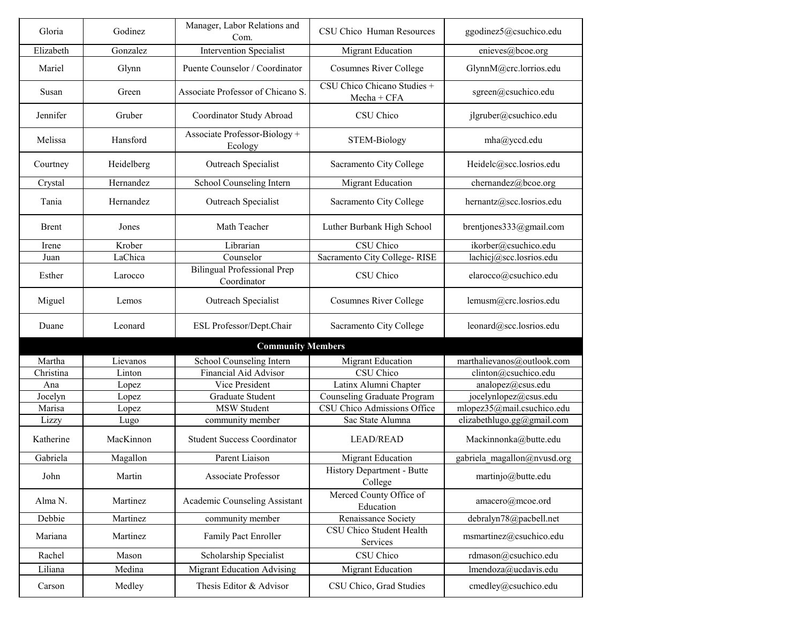| Gloria              | Godinez    | Manager, Labor Relations and<br>Com.              | CSU Chico Human Resources                    | ggodinez5@csuchico.edu      |
|---------------------|------------|---------------------------------------------------|----------------------------------------------|-----------------------------|
| Elizabeth           | Gonzalez   | <b>Intervention Specialist</b>                    | <b>Migrant Education</b>                     | enieves@bcoe.org            |
| Mariel              | Glynn      | Puente Counselor / Coordinator                    | <b>Cosumnes River College</b>                | GlynnM@crc.lorrios.edu      |
| Susan               | Green      | Associate Professor of Chicano S.                 | CSU Chico Chicano Studies +<br>$Mecha + CFA$ | sgreen@csuchico.edu         |
| Jennifer            | Gruber     | Coordinator Study Abroad                          | CSU Chico                                    | jlgruber@csuchico.edu       |
| Melissa             | Hansford   | Associate Professor-Biology +<br>Ecology          | <b>STEM-Biology</b>                          | mha@yccd.edu                |
| Courtney            | Heidelberg | <b>Outreach Specialist</b>                        | Sacramento City College                      | Heidelc@scc.losrios.edu     |
| Crystal             | Hernandez  | School Counseling Intern                          | <b>Migrant Education</b>                     | chernandez@bcoe.org         |
| Tania               | Hernandez  | <b>Outreach Specialist</b>                        | Sacramento City College                      | hernantz@scc.losrios.edu    |
| <b>Brent</b>        | Jones      | Math Teacher                                      | Luther Burbank High School                   | brentjones $333@g$ mail.com |
| Irene               | Krober     | Librarian                                         | <b>CSU</b> Chico                             | ikorber@csuchico.edu        |
| Juan                | LaChica    | Counselor                                         | Sacramento City College-RISE                 | lachicj@scc.losrios.edu     |
| Esther              | Larocco    | <b>Bilingual Professional Prep</b><br>Coordinator | CSU Chico                                    | elarocco@csuchico.edu       |
| Miguel              | Lemos      | <b>Outreach Specialist</b>                        | <b>Cosumnes River College</b>                | lemusm@crc.losrios.edu      |
| Duane               | Leonard    | ESL Professor/Dept.Chair                          | Sacramento City College                      | leonard@scc.losrios.edu     |
|                     |            | <b>Community Members</b>                          |                                              |                             |
| Martha              | Lievanos   | School Counseling Intern                          | <b>Migrant Education</b>                     | marthalievanos@outlook.com  |
| Christina           | Linton     | <b>Financial Aid Advisor</b>                      | CSU Chico                                    | clinton@csuchico.edu        |
| Ana                 | Lopez      | Vice President                                    | Latinx Alumni Chapter                        | analopez@csus.edu           |
| Jocelyn             | Lopez      | Graduate Student                                  | <b>Counseling Graduate Program</b>           | jocelynlopez@csus.edu       |
| Marisa              | Lopez      | <b>MSW Student</b>                                | CSU Chico Admissions Office                  | mlopez35@mail.csuchico.edu  |
| Lizzy               | Lugo       | community member                                  | Sac State Alumna                             | elizabethlugo.gg@gmail.com  |
| Katherine           | MacKinnon  | <b>Student Success Coordinator</b>                | <b>LEAD/READ</b>                             | Mackinnonka@butte.edu       |
| Gabriela            | Magallon   | Parent Liaison                                    | <b>Migrant Education</b>                     | gabriela magallon@nvusd.org |
| John                | Martin     | <b>Associate Professor</b>                        | <b>History Department - Butte</b><br>College | martinjo@butte.edu          |
| Alma <sub>N</sub> . | Martinez   | <b>Academic Counseling Assistant</b>              | Merced County Office of<br>Education         | amacero@mcoe.ord            |
| Debbie              | Martinez   | community member                                  | Renaissance Society                          | debralyn78@pacbell.net      |
| Mariana             | Martinez   | <b>Family Pact Enroller</b>                       | CSU Chico Student Health<br>Services         | msmartinez@csuchico.edu     |
| Rachel              | Mason      | Scholarship Specialist                            | CSU Chico                                    | rdmason@csuchico.edu        |
| Liliana             | Medina     | <b>Migrant Education Advising</b>                 | <b>Migrant Education</b>                     | lmendoza@ucdavis.edu        |
| Carson              | Medley     | Thesis Editor & Advisor                           | CSU Chico, Grad Studies                      | cmedley@csuchico.edu        |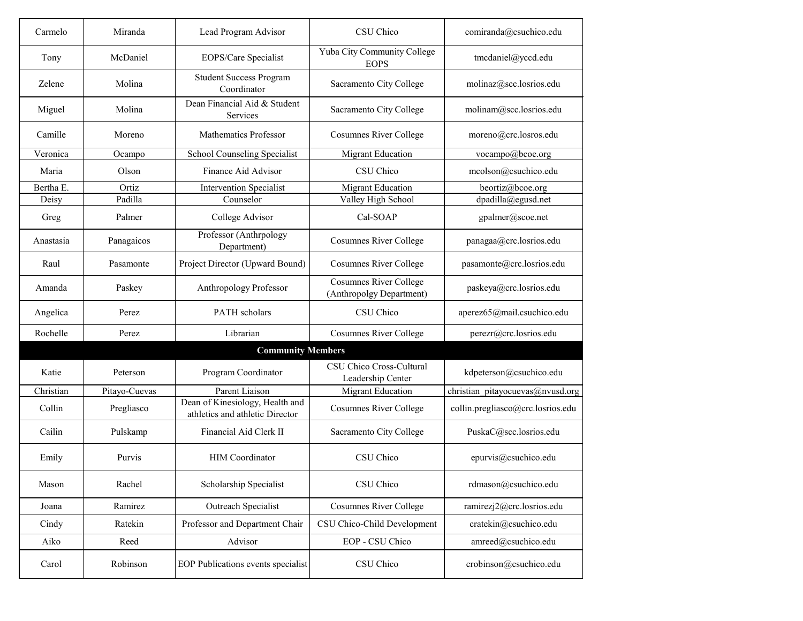| Carmelo   | Miranda       | Lead Program Advisor                                               | CSU Chico                                                 | comiranda@csuchico.edu            |
|-----------|---------------|--------------------------------------------------------------------|-----------------------------------------------------------|-----------------------------------|
| Tony      | McDaniel      | EOPS/Care Specialist                                               | Yuba City Community College<br><b>EOPS</b>                | tmcdaniel@yccd.edu                |
| Zelene    | Molina        | <b>Student Success Program</b><br>Coordinator                      | Sacramento City College                                   | molinaz@scc.losrios.edu           |
| Miguel    | Molina        | Dean Financial Aid & Student<br>Services                           | Sacramento City College                                   | molinam@scc.losrios.edu           |
| Camille   | Moreno        | <b>Mathematics Professor</b>                                       | <b>Cosumnes River College</b>                             | moreno@crc.losros.edu             |
| Veronica  | Ocampo        | School Counseling Specialist                                       | <b>Migrant Education</b>                                  | vocampo@bcoe.org                  |
| Maria     | Olson         | Finance Aid Advisor                                                | CSU Chico                                                 | mcolson@csuchico.edu              |
| Bertha E. | Ortiz         | <b>Intervention Specialist</b>                                     | <b>Migrant Education</b>                                  | beortiz@bcoe.org                  |
| Deisy     | Padilla       | Counselor                                                          | Valley High School                                        | dpadilla@egusd.net                |
| Greg      | Palmer        | College Advisor                                                    | Cal-SOAP                                                  | gpalmer@scoe.net                  |
| Anastasia | Panagaicos    | Professor (Anthrpology<br>Department)                              | <b>Cosumnes River College</b>                             | panagaa@crc.losrios.edu           |
| Raul      | Pasamonte     | Project Director (Upward Bound)                                    | <b>Cosumnes River College</b>                             | pasamonte@crc.losrios.edu         |
| Amanda    | Paskey        | Anthropology Professor                                             | <b>Cosumnes River College</b><br>(Anthropolgy Department) | paskeya@crc.losrios.edu           |
| Angelica  | Perez         | PATH scholars                                                      | CSU Chico                                                 | aperez65@mail.csuchico.edu        |
| Rochelle  | Perez         | Librarian                                                          | <b>Cosumnes River College</b>                             | perezr@crc.losrios.edu            |
|           |               | <b>Community Members</b>                                           |                                                           |                                   |
| Katie     | Peterson      | Program Coordinator                                                | CSU Chico Cross-Cultural<br>Leadership Center             | kdpeterson@csuchico.edu           |
| Christian | Pitayo-Cuevas | Parent Liaison                                                     | <b>Migrant Education</b>                                  | christian_pitayocuevas@nvusd.org  |
| Collin    | Pregliasco    | Dean of Kinesiology, Health and<br>athletics and athletic Director | <b>Cosumnes River College</b>                             | collin.pregliasco@crc.losrios.edu |
| Cailin    | Pulskamp      | Financial Aid Clerk II                                             | Sacramento City College                                   | PuskaC@scc.losrios.edu            |
| Emily     | Purvis        | <b>HIM</b> Coordinator                                             | CSU Chico                                                 | epurvis@csuchico.edu              |
| Mason     | Rachel        | Scholarship Specialist                                             | CSU Chico                                                 | rdmason@csuchico.edu              |
| Joana     | Ramirez       | Outreach Specialist                                                | <b>Cosumnes River College</b>                             | ramirezj2@crc.losrios.edu         |
| Cindy     | Ratekin       | Professor and Department Chair                                     | CSU Chico-Child Development                               | cratekin@csuchico.edu             |
| Aiko      | Reed          | Advisor                                                            | EOP - CSU Chico                                           | amreed@csuchico.edu               |
| Carol     | Robinson      | EOP Publications events specialist                                 | CSU Chico                                                 | crobinson@csuchico.edu            |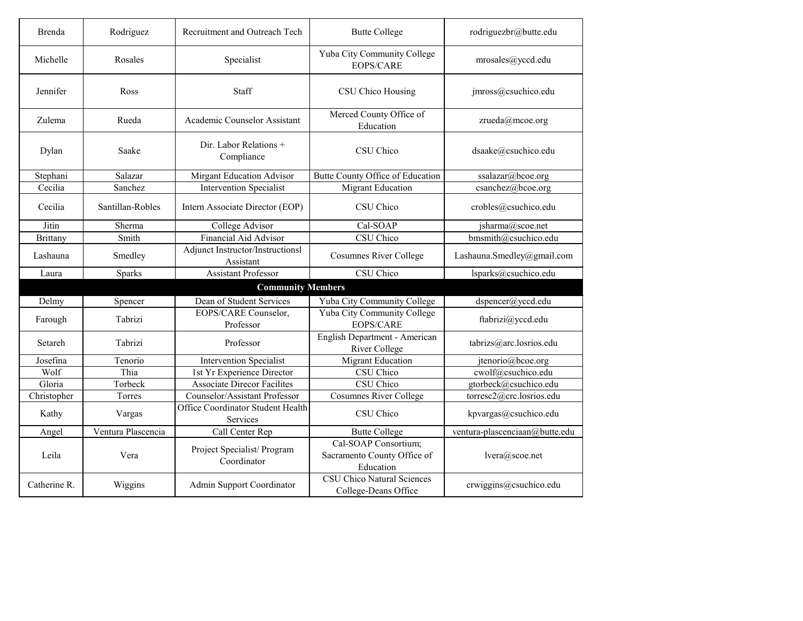| Brenda                   | Rodriguez          | Recruitment and Outreach Tech                 | <b>Butte College</b>                                             | rodriguezbr@butte.edu          |  |
|--------------------------|--------------------|-----------------------------------------------|------------------------------------------------------------------|--------------------------------|--|
| Michelle                 | Rosales            | Specialist                                    | Yuba City Community College<br><b>EOPS/CARE</b>                  | mrosales@yccd.edu              |  |
| Jennifer                 | Ross               | <b>Staff</b>                                  | CSU Chico Housing                                                | jmross@csuchico.edu            |  |
| Zulema                   | Rueda              | Academic Counselor Assistant                  | Merced County Office of<br>Education                             | zrueda@mcoe.org                |  |
| Dylan                    | Saake              | Dir. Labor Relations +<br>Compliance          | CSU Chico                                                        | dsaake@csuchico.edu            |  |
| Stephani                 | Salazar            | <b>Mirgant Education Advisor</b>              | Butte County Office of Education                                 | ssalazar@bcoe.org              |  |
| Cecilia                  | Sanchez            | <b>Intervention Specialist</b>                | <b>Migrant Education</b>                                         | csanchez@bcoe.org              |  |
| Cecilia                  | Santillan-Robles   | Intern Associate Director (EOP)               | CSU Chico                                                        | crobles@csuchico.edu           |  |
| Jitin                    | Sherma             | College Advisor                               | Cal-SOAP                                                         | jsharma@scoe.net               |  |
| <b>Brittany</b>          | Smith              | <b>Financial Aid Advisor</b>                  | CSU Chico                                                        | bmsmith@csuchico.edu           |  |
| Lashauna                 | Smedley            | Adjunct Instructor/Instructionsl<br>Assistant | <b>Cosumnes River College</b>                                    | Lashauna.Smedley@gmail.com     |  |
| Laura                    | Sparks             | <b>Assistant Professor</b>                    | CSU Chico                                                        | lsparks@csuchico.edu           |  |
| <b>Community Members</b> |                    |                                               |                                                                  |                                |  |
| Delmy                    | Spencer            | Dean of Student Services                      | Yuba City Community College                                      | dspencer@yccd.edu              |  |
| Farough                  | Tabrizi            | EOPS/CARE Counselor,<br>Professor             | Yuba City Community College<br><b>EOPS/CARE</b>                  | ftabrizi@yccd.edu              |  |
| Setareh                  | Tabrizi            | Professor                                     | English Department - American<br><b>River College</b>            | tabrizs@arc.losrios.edu        |  |
| Josefina                 | Tenorio            | <b>Intervention Specialist</b>                | <b>Migrant Education</b>                                         | jtenorio@bcoe.org              |  |
| Wolf                     | Thia               | 1st Yr Experience Director                    | CSU Chico                                                        | cwolf@csuchico.edu             |  |
| Gloria                   | Torbeck            | <b>Associate Direcor Facilites</b>            | CSU Chico                                                        | gtorbeck@csuchico.edu          |  |
| Christopher              | Torres             | Counselor/Assistant Professor                 | <b>Cosumnes River College</b>                                    | torresc2@crc.losrios.edu       |  |
| Kathy                    | Vargas             | Office Coordinator Student Health<br>Services | CSU Chico                                                        | kpvargas@csuchico.edu          |  |
| Angel                    | Ventura Plascencia | Call Center Rep                               | <b>Butte College</b>                                             | ventura-plascenciaan@butte.edu |  |
| Leila                    | Vera               | Project Specialist/Program<br>Coordinator     | Cal-SOAP Consortium;<br>Sacramento County Office of<br>Education | lvera@scoe.net                 |  |
| Catherine R.             | Wiggins            | <b>Admin Support Coordinator</b>              | <b>CSU Chico Natural Sciences</b><br>College-Deans Office        | crwiggins@csuchico.edu         |  |